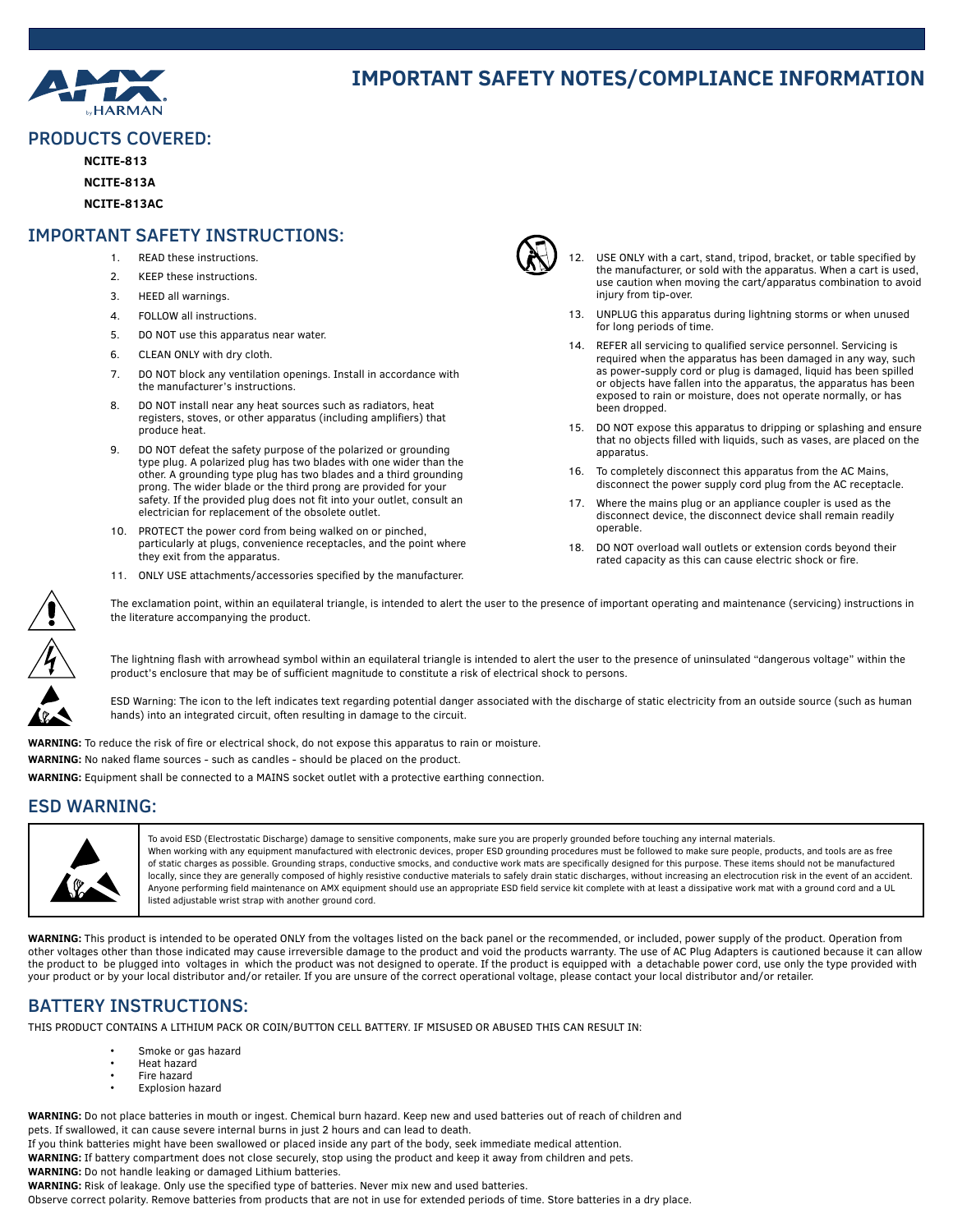

# **IMPORTANT SAFETY NOTES/COMPLIANCE INFORMATION**

#### PRODUCTS COVERED:

**NCITE-813**

**NCITE-813A**

**NCITE-813AC**

#### IMPORTANT SAFETY INSTRUCTIONS:

- 1. READ these instructions.
- 2. KEEP these instructions.
- 3. HEED all warnings.
- 4. FOLLOW all instructions.
- 5. DO NOT use this apparatus near water.
- 6. CLEAN ONLY with dry cloth.
- 7. DO NOT block any ventilation openings. Install in accordance with the manufacturer's instructions.
- 8. DO NOT install near any heat sources such as radiators, heat registers, stoves, or other apparatus (including amplifiers) that produce heat.
- 9. DO NOT defeat the safety purpose of the polarized or grounding type plug. A polarized plug has two blades with one wider than the other. A grounding type plug has two blades and a third grounding prong. The wider blade or the third prong are provided for your safety. If the provided plug does not fit into your outlet, consult an electrician for replacement of the obsolete outlet.
- 10. PROTECT the power cord from being walked on or pinched, particularly at plugs, convenience receptacles, and the point where they exit from the apparatus.
- 11. ONLY USE attachments/accessories specified by the manufacturer.



- USE ONLY with a cart, stand, tripod, bracket, or table specified by the manufacturer, or sold with the apparatus. When a cart is used, use caution when moving the cart/apparatus combination to avoid injury from tip-over.
- 13. UNPLUG this apparatus during lightning storms or when unused for long periods of time.
- 14. REFER all servicing to qualified service personnel. Servicing is required when the apparatus has been damaged in any way, such as power-supply cord or plug is damaged, liquid has been spilled or objects have fallen into the apparatus, the apparatus has been exposed to rain or moisture, does not operate normally, or has been dropped.
- 15. DO NOT expose this apparatus to dripping or splashing and ensure that no objects filled with liquids, such as vases, are placed on the apparatus.
- 16. To completely disconnect this apparatus from the AC Mains, disconnect the power supply cord plug from the AC receptacle.
- 17. Where the mains plug or an appliance coupler is used as the disconnect device, the disconnect device shall remain readily operable.
- 18. DO NOT overload wall outlets or extension cords beyond their rated capacity as this can cause electric shock or fire.

The exclamation point, within an equilateral triangle, is intended to alert the user to the presence of important operating and maintenance (servicing) instructions in the literature accompanying the product.



The lightning flash with arrowhead symbol within an equilateral triangle is intended to alert the user to the presence of uninsulated "dangerous voltage" within the product's enclosure that may be of sufficient magnitude to constitute a risk of electrical shock to persons.

ESD Warning: The icon to the left indicates text regarding potential danger associated with the discharge of static electricity from an outside source (such as human hands) into an integrated circuit, often resulting in damage to the circuit.

**WARNING:** To reduce the risk of fire or electrical shock, do not expose this apparatus to rain or moisture.

**WARNING:** No naked flame sources - such as candles - should be placed on the product.

**WARNING:** Equipment shall be connected to a MAINS socket outlet with a protective earthing connection.

### ESD WARNING:



To avoid ESD (Electrostatic Discharge) damage to sensitive components, make sure you are properly grounded before touching any internal materials. When working with any equipment manufactured with electronic devices, proper ESD grounding procedures must be followed to make sure people, products, and tools are as free of static charges as possible. Grounding straps, conductive smocks, and conductive work mats are specifically designed for this purpose. These items should not be manufactured locally, since they are generally composed of highly resistive conductive materials to safely drain static discharges, without increasing an electrocution risk in the event of an accident. Anyone performing field maintenance on AMX equipment should use an appropriate ESD field service kit complete with at least a dissipative work mat with a ground cord and a UL listed adjustable wrist strap with another ground cord.

**WARNING:** This product is intended to be operated ONLY from the voltages listed on the back panel or the recommended, or included, power supply of the product. Operation from other voltages other than those indicated may cause irreversible damage to the product and void the products warranty. The use of AC Plug Adapters is cautioned because it can allow the product to be plugged into voltages in which the product was not designed to operate. If the product is equipped with a detachable power cord, use only the type provided with your product or by your local distributor and/or retailer. If you are unsure of the correct operational voltage, please contact your local distributor and/or retailer.

### BATTERY INSTRUCTIONS:

THIS PRODUCT CONTAINS A LITHIUM PACK OR COIN/BUTTON CELL BATTERY. IF MISUSED OR ABUSED THIS CAN RESULT IN:

- Smoke or gas hazard
- Heat hazard
- Fire hazard
- Explosion hazard

**WARNING:** Do not place batteries in mouth or ingest. Chemical burn hazard. Keep new and used batteries out of reach of children and pets. If swallowed, it can cause severe internal burns in just 2 hours and can lead to death.

If you think batteries might have been swallowed or placed inside any part of the body, seek immediate medical attention.

**WARNING:** If battery compartment does not close securely, stop using the product and keep it away from children and pets. **WARNING:** Do not handle leaking or damaged Lithium batteries.

**WARNING:** Risk of leakage. Only use the specified type of batteries. Never mix new and used batteries.

Observe correct polarity. Remove batteries from products that are not in use for extended periods of time. Store batteries in a dry place.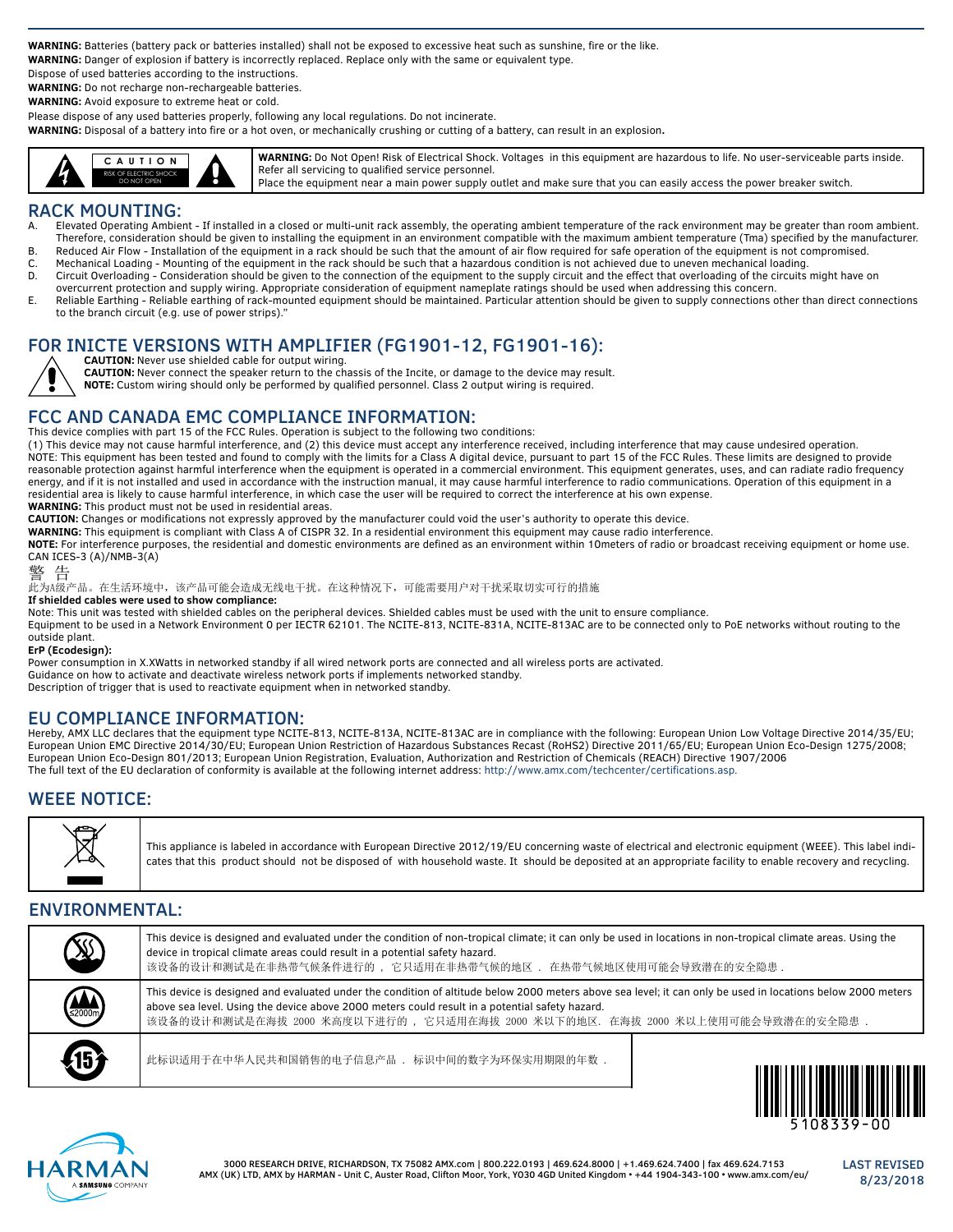**WARNING:** Batteries (battery pack or batteries installed) shall not be exposed to excessive heat such as sunshine, fire or the like.

**WARNING:** Danger of explosion if battery is incorrectly replaced. Replace only with the same or equivalent type.

Dispose of used batteries according to the instructions.

**WARNING:** Do not recharge non-rechargeable batteries.

**WARNING:** Avoid exposure to extreme heat or cold.

Please dispose of any used batteries properly, following any local regulations. Do not incinerate.

**WARNING:** Disposal of a battery into fire or a hot oven, or mechanically crushing or cutting of a battery, can result in an explosion**.**



**WARNING:** Do Not Open! Risk of Electrical Shock. Voltages in this equipment are hazardous to life. No user-serviceable parts inside. Refer all servicing to qualified service personnel. Place the equipment near a main power supply outlet and make sure that you can easily access the power breaker switch.

# **RACK MOUNTING:**<br>A. Elevated Operating Ambie

- A. Elevated Operating Ambient If installed in a closed or multi-unit rack assembly, the operating ambient temperature of the rack environment may be greater than room ambient. Therefore, consideration should be given to installing the equipment in an environment compatible with the maximum ambient temperature (Tma) specified by the manufacturer.
- B. Reduced Air Flow Installation of the equipment in a rack should be such that the amount of air flow required for safe operation of the equipment is not compromised.
- C. Mechanical Loading Mounting of the equipment in the rack should be such that a hazardous condition is not achieved due to uneven mechanical loading. D. Circuit Overloading - Consideration should be given to the connection of the equipment to the supply circuit and the effect that overloading of the circuits might have on
- overcurrent protection and supply wiring. Appropriate consideration of equipment nameplate ratings should be used when addressing this concern.
- E. Reliable Earthing Reliable earthing of rack-mounted equipment should be maintained. Particular attention should be given to supply connections other than direct connections to the branch circuit (e.g. use of power strips)."

# FOR INICTE VERSIONS WITH AMPLIFIER (FG1901-12, FG1901-16):



**CAUTION:** Never use shielded cable for output wiring.

**CAUTION:** Never connect the speaker return to the chassis of the Incite, or damage to the device may result.

**NOTE:** Custom wiring should only be performed by qualified personnel. Class 2 output wiring is required.

### FCC AND CANADA EMC COMPLIANCE INFORMATION:

This device complies with part 15 of the FCC Rules. Operation is subject to the following two conditions:

(1) This device may not cause harmful interference, and (2) this device must accept any interference received, including interference that may cause undesired operation. NOTE: This equipment has been tested and found to comply with the limits for a Class A digital device, pursuant to part 15 of the FCC Rules. These limits are designed to provide reasonable protection against harmful interference when the equipment is operated in a commercial environment. This equipment generates, uses, and can radiate radio frequency energy, and if it is not installed and used in accordance with the instruction manual, it may cause harmful interference to radio communications. Operation of this equipment in a residential area is likely to cause harmful interference, in which case the user will be required to correct the interference at his own expense. **WARNING:** This product must not be used in residential areas.

**CAUTION:** Changes or modifications not expressly approved by the manufacturer could void the user's authority to operate this device.

**WARNING:** This equipment is compliant with Class A of CISPR 32. In a residential environment this equipment may cause radio interference.

**NOTE:** For interference purposes, the residential and domestic environments are defined as an environment within 10meters of radio or broadcast receiving equipment or home use. CAN ICES-3 (A)/NMB-3(A)

#### 警 告

此为A级产品。在生活环境中,该产品可能会造成无线电干扰。在这种情况下,可能需要用户对干扰采取切实可行的措施

**If shielded cables were used to show compliance:**

Note: This unit was tested with shielded cables on the peripheral devices. Shielded cables must be used with the unit to ensure compliance. Equipment to be used in a Network Environment 0 per IECTR 62101. The NCITE-813, NCITE-831A, NCITE-813AC are to be connected only to PoE networks without routing to the outside plant.

#### **ErP (Ecodesign):**

Power consumption in X.XWatts in networked standby if all wired network ports are connected and all wireless ports are activated. Guidance on how to activate and deactivate wireless network ports if implements networked standby. Description of trigger that is used to reactivate equipment when in networked standby.

### EU COMPLIANCE INFORMATION:

Hereby, AMX LLC declares that the equipment type NCITE-813, NCITE-813A, NCITE-813AC are in compliance with the following: European Union Low Voltage Directive 2014/35/EU; European Union EMC Directive 2014/30/EU; European Union Restriction of Hazardous Substances Recast (RoHS2) Directive 2011/65/EU; European Union Eco-Design 1275/2008; European Union Eco-Design 801/2013; European Union Registration, Evaluation, Authorization and Restriction of Chemicals (REACH) Directive 1907/2006 The full text of the EU declaration of conformity is available at the following internet address[:](http://www.amx.com/techcenter/certifications.asp) http://[www.amx.com/techcenter/certifications.asp](www.amx.com/techcenter/certifications.asp.).

### WEEE NOTICE:



This appliance is labeled in accordance with European Directive 2012/19/EU concerning waste of electrical and electronic equipment (WEEE). This label indicates that this product should not be disposed of with household waste. It should be deposited at an appropriate facility to enable recovery and recycling.

### ENVIRONMENTAL:

| <b>SS</b>           | This device is designed and evaluated under the condition of non-tropical climate; it can only be used in locations in non-tropical climate areas. Using the<br>device in tropical climate areas could result in a potential safety hazard.<br>该设备的设计和测试是在非热带气候条件进行的 ,它只适用在非热带气候的地区 . 在热带气候地区使用可能会导致潜在的安全隐患 .                                 |                                                   |
|---------------------|-----------------------------------------------------------------------------------------------------------------------------------------------------------------------------------------------------------------------------------------------------------------------------------------------------------------------------------------------|---------------------------------------------------|
| $\sum_{z \ge 000m}$ | This device is designed and evaluated under the condition of altitude below 2000 meters above sea level; it can only be used in locations below 2000 meters<br>above sea level. Using the device above 2000 meters could result in a potential safety hazard.<br>该设备的设计和测试是在海拔 2000 米高度以下进行的 ,它只适用在海拔 2000 米以下的地区. 在海拔 2000 米以上使用可能会导致潜在的安全隐患 |                                                   |
| 45                  | 此标识适用于在中华人民共和国销售的电子信息产品 . 标识中间的数字为环保实用期限的年数.                                                                                                                                                                                                                                                                                                  | <u> Alia hali 1 alit 4 haqidi tekshirilgan mu</u> |



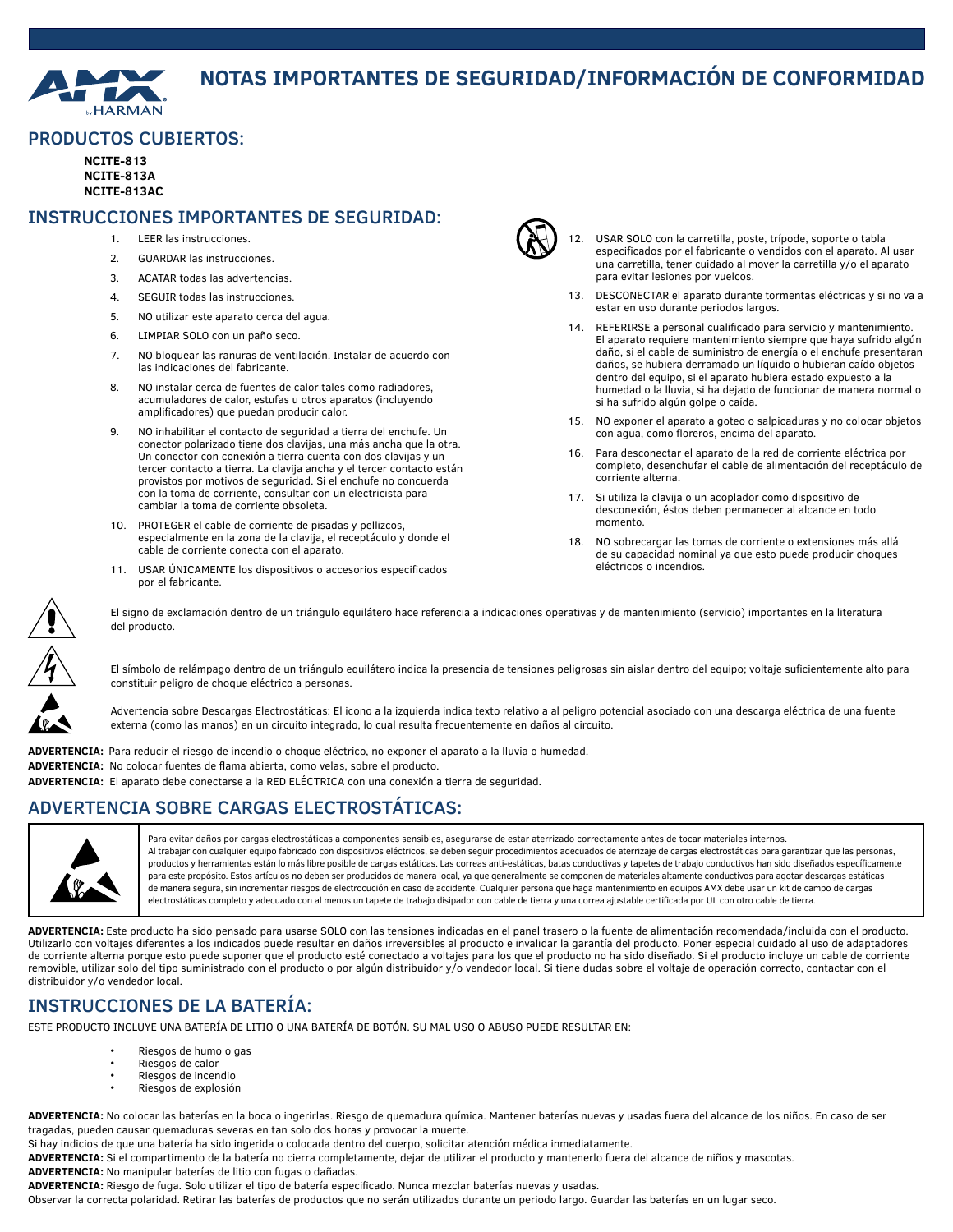

# **NOTAS IMPORTANTES DE SEGURIDAD/INFORMACIÓN DE CONFORMIDAD**

#### PRODUCTOS CUBIERTOS:

**NCITE-813 NCITE-813A NCITE-813AC**

### INSTRUCCIONES IMPORTANTES DE SEGURIDAD:

- 1. LEER las instrucciones.
- 2. GUARDAR las instrucciones.
- 3. ACATAR todas las advertencias.
- 4. SEGUIR todas las instrucciones.
- 5. NO utilizar este aparato cerca del agua.
- 6. LIMPIAR SOLO con un paño seco.
- 7. NO bloquear las ranuras de ventilación. Instalar de acuerdo con las indicaciones del fabricante.
- 8. NO instalar cerca de fuentes de calor tales como radiadores, acumuladores de calor, estufas u otros aparatos (incluyendo amplificadores) que puedan producir calor.
- 9. NO inhabilitar el contacto de seguridad a tierra del enchufe. Un conector polarizado tiene dos clavijas, una más ancha que la otra. Un conector con conexión a tierra cuenta con dos clavijas y un tercer contacto a tierra. La clavija ancha y el tercer contacto están provistos por motivos de seguridad. Si el enchufe no concuerda con la toma de corriente, consultar con un electricista para cambiar la toma de corriente obsoleta.
- 10. PROTEGER el cable de corriente de pisadas y pellizcos, especialmente en la zona de la clavija, el receptáculo y donde el cable de corriente conecta con el aparato.
- 11. USAR ÚNICAMENTE los dispositivos o accesorios especificados por el fabricante.



- 12. USAR SOLO con la carretilla, poste, trípode, soporte o tabla especificados por el fabricante o vendidos con el aparato. Al usar una carretilla, tener cuidado al mover la carretilla y/o el aparato para evitar lesiones por vuelcos.
- 13. DESCONECTAR el aparato durante tormentas eléctricas y si no va a estar en uso durante periodos largos.
- 14. REFERIRSE a personal cualificado para servicio y mantenimiento. El aparato requiere mantenimiento siempre que haya sufrido algún daño, si el cable de suministro de energía o el enchufe presentaran daños, se hubiera derramado un líquido o hubieran caído objetos dentro del equipo, si el aparato hubiera estado expuesto a la humedad o la lluvia, si ha dejado de funcionar de manera normal o si ha sufrido algún golpe o caída.
- 15. NO exponer el aparato a goteo o salpicaduras y no colocar objetos con agua, como floreros, encima del aparato.
- 16. Para desconectar el aparato de la red de corriente eléctrica por completo, desenchufar el cable de alimentación del receptáculo de corriente alterna.
- 17. Si utiliza la clavija o un acoplador como dispositivo de desconexión, éstos deben permanecer al alcance en todo momento.
- 18. NO sobrecargar las tomas de corriente o extensiones más allá de su capacidad nominal ya que esto puede producir choques eléctricos o incendios.



El signo de exclamación dentro de un triángulo equilátero hace referencia a indicaciones operativas y de mantenimiento (servicio) importantes en la literatura del producto.

El símbolo de relámpago dentro de un triángulo equilátero indica la presencia de tensiones peligrosas sin aislar dentro del equipo; voltaje suficientemente alto para constituir peligro de choque eléctrico a personas.

Advertencia sobre Descargas Electrostáticas: El icono a la izquierda indica texto relativo a al peligro potencial asociado con una descarga eléctrica de una fuente externa (como las manos) en un circuito integrado, lo cual resulta frecuentemente en daños al circuito.

**ADVERTENCIA:** Para reducir el riesgo de incendio o choque eléctrico, no exponer el aparato a la lluvia o humedad. **ADVERTENCIA:** No colocar fuentes de flama abierta, como velas, sobre el producto. **ADVERTENCIA:** El aparato debe conectarse a la RED ELÉCTRICA con una conexión a tierra de seguridad.

# ADVERTENCIA SOBRE CARGAS ELECTROSTÁTICAS:



Para evitar daños por cargas electrostáticas a componentes sensibles, asegurarse de estar aterrizado correctamente antes de tocar materiales internos. Al trabajar con cualquier equipo fabricado con dispositivos eléctricos, se deben seguir procedimientos adecuados de aterrizaje de cargas electrostáticas para garantizar que las personas, productos y herramientas están lo más libre posible de cargas estáticas. Las correas anti-estáticas, batas conductivas y tapetes de trabajo conductivos han sido diseñados específicamente para este propósito. Estos artículos no deben ser producidos de manera local, ya que generalmente se componen de materiales altamente conductivos para agotar descargas estáticas de manera segura, sin incrementar riesgos de electrocución en caso de accidente. Cualquier persona que haga mantenimiento en equipos AMX debe usar un kit de campo de cargas electrostáticas completo y adecuado con al menos un tapete de trabajo disipador con cable de tierra y una correa ajustable certificada por UL con otro cable de tierra.

**ADVERTENCIA:** Este producto ha sido pensado para usarse SOLO con las tensiones indicadas en el panel trasero o la fuente de alimentación recomendada/incluida con el producto. Utilizarlo con voltajes diferentes a los indicados puede resultar en daños irreversibles al producto e invalidar la garantía del producto. Poner especial cuidado al uso de adaptadores de corriente alterna porque esto puede suponer que el producto esté conectado a voltajes para los que el producto no ha sido diseñado. Si el producto incluye un cable de corriente removible, utilizar solo del tipo suministrado con el producto o por algún distribuidor y/o vendedor local. Si tiene dudas sobre el voltaje de operación correcto, contactar con el distribuidor y/o vendedor local.

# INSTRUCCIONES DE LA BATERÍA:

ESTE PRODUCTO INCLUYE UNA BATERÍA DE LITIO O UNA BATERÍA DE BOTÓN. SU MAL USO O ABUSO PUEDE RESULTAR EN:

- Riesgos de humo o gas
- Riesgos de calor<br>• Piesgos de incen
- Riesgos de incendio
- Riesgos de explosión

**ADVERTENCIA:** No colocar las baterías en la boca o ingerirlas. Riesgo de quemadura química. Mantener baterías nuevas y usadas fuera del alcance de los niños. En caso de ser tragadas, pueden causar quemaduras severas en tan solo dos horas y provocar la muerte.

Si hay indicios de que una batería ha sido ingerida o colocada dentro del cuerpo, solicitar atención médica inmediatamente.

**ADVERTENCIA:** Si el compartimento de la batería no cierra completamente, dejar de utilizar el producto y mantenerlo fuera del alcance de niños y mascotas. **ADVERTENCIA:** No manipular baterías de litio con fugas o dañadas.

**ADVERTENCIA:** Riesgo de fuga. Solo utilizar el tipo de batería especificado. Nunca mezclar baterías nuevas y usadas.

Observar la correcta polaridad. Retirar las baterías de productos que no serán utilizados durante un periodo largo. Guardar las baterías en un lugar seco.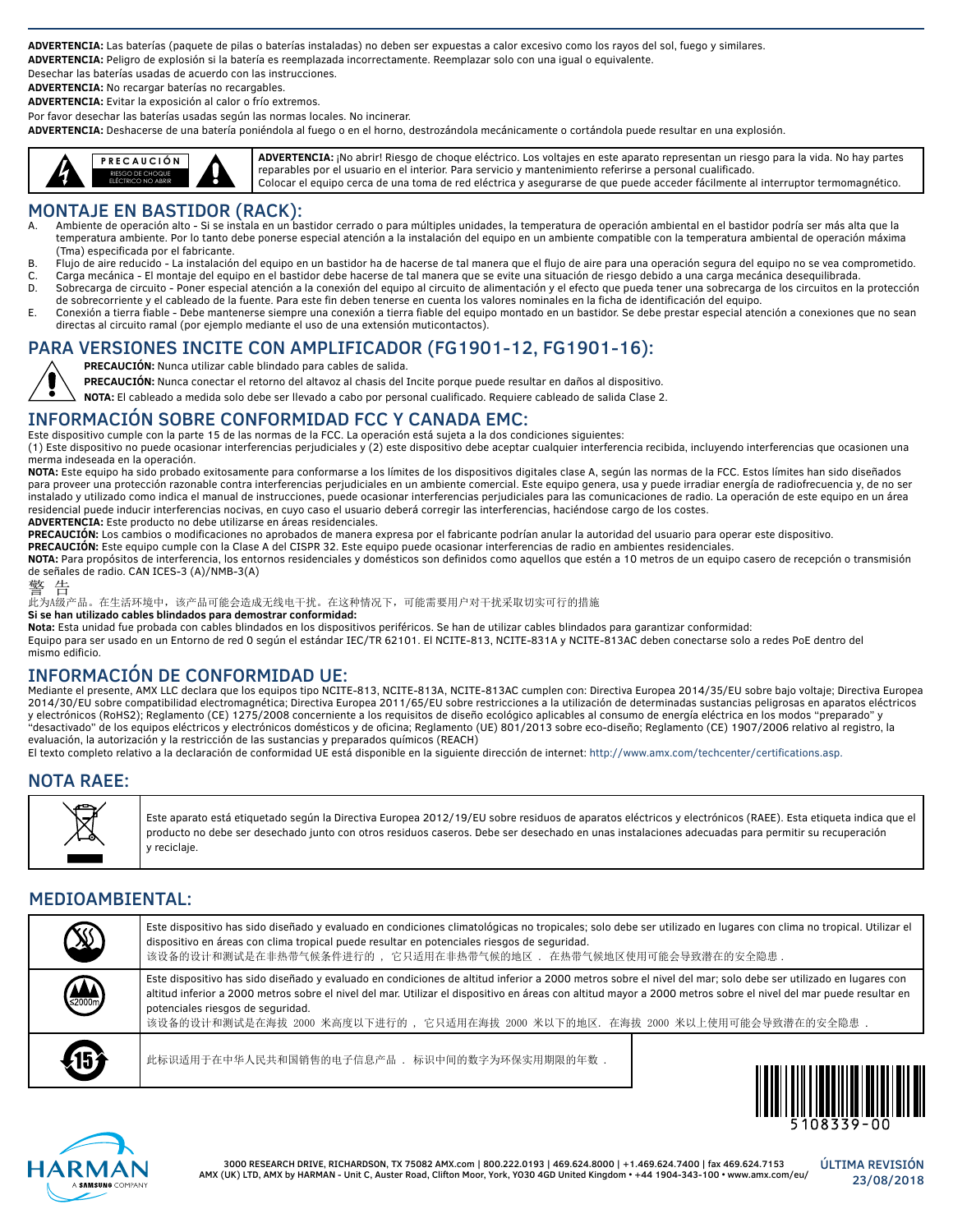**ADVERTENCIA:** Las baterías (paquete de pilas o baterías instaladas) no deben ser expuestas a calor excesivo como los rayos del sol, fuego y similares. **ADVERTENCIA:** Peligro de explosión si la batería es reemplazada incorrectamente. Reemplazar solo con una igual o equivalente.

Desechar las baterías usadas de acuerdo con las instrucciones.

**ADVERTENCIA:** No recargar baterías no recargables.

**ADVERTENCIA:** Evitar la exposición al calor o frío extremos.

Por favor desechar las baterías usadas según las normas locales. No incinerar.

**ADVERTENCIA:** Deshacerse de una batería poniéndola al fuego o en el horno, destrozándola mecánicamente o cortándola puede resultar en una explosión.



**ADVERTENCIA:** ¡No abrir! Riesgo de choque eléctrico. Los voltajes en este aparato representan un riesgo para la vida. No hay partes reparables por el usuario en el interior. Para servicio y mantenimiento referirse a personal cualificado. Colocar el equipo cerca de una toma de red eléctrica y asegurarse de que puede acceder fácilmente al interruptor termomagnético.

### MONTAJE EN BASTIDOR (RACK):

- Ambiente de operación alto Si se instala en un bastidor cerrado o para múltiples unidades, la temperatura de operación ambiental en el bastidor podría ser más alta que la temperatura ambiente. Por lo tanto debe ponerse especial atención a la instalación del equipo en un ambiente compatible con la temperatura ambiental de operación máxima (Tma) especificada por el fabricante.
- B. Flujo de aire reducido La instalación del equipo en un bastidor ha de hacerse de tal manera que el flujo de aire para una operación segura del equipo no se vea comprometido.
- C. Carga mecánica El montaje del equipo en el bastidor debe hacerse de tal manera que se evite una situación de riesgo debido a una carga mecánica desequilibrada. Sobrecarga de circuito - Poner especial atención a la conexión del equipo al circuito de alimentación y el efecto que pueda tener una sobrecarga de los circuitos en la protección
- de sobrecorriente y el cableado de la fuente. Para este fin deben tenerse en cuenta los valores nominales en la ficha de identificación del equipo. E. Conexión a tierra fiable - Debe mantenerse siempre una conexión a tierra fiable del equipo montado en un bastidor. Se debe prestar especial atención a conexiones que no sean
- directas al circuito ramal (por ejemplo mediante el uso de una extensión muticontactos).

# PARA VERSIONES INCITE CON AMPLIFICADOR (FG1901-12, FG1901-16):

**PRECAUCIÓN:** Nunca utilizar cable blindado para cables de salida.

**PRECAUCIÓN:** Nunca conectar el retorno del altavoz al chasis del Incite porque puede resultar en daños al dispositivo.

**NOTA:** El cableado a medida solo debe ser llevado a cabo por personal cualificado. Requiere cableado de salida Clase 2.

### INFORMACIÓN SOBRE CONFORMIDAD FCC Y CANADA EMC:

Este dispositivo cumple con la parte 15 de las normas de la FCC. La operación está sujeta a la dos condiciones siguientes: (1) Este dispositivo no puede ocasionar interferencias perjudiciales y (2) este dispositivo debe aceptar cualquier interferencia recibida, incluyendo interferencias que ocasionen una merma indeseada en la operación.

**NOTA:** Este equipo ha sido probado exitosamente para conformarse a los límites de los dispositivos digitales clase A, según las normas de la FCC. Estos límites han sido diseñados para proveer una protección razonable contra interferencias perjudiciales en un ambiente comercial. Este equipo genera, usa y puede irradiar energía de radiofrecuencia y, de no ser instalado y utilizado como indica el manual de instrucciones, puede ocasionar interferencias perjudiciales para las comunicaciones de radio. La operación de este equipo en un área residencial puede inducir interferencias nocivas, en cuyo caso el usuario deberá corregir las interferencias, haciéndose cargo de los costes.

**ADVERTENCIA:** Este producto no debe utilizarse en áreas residenciales.

**PRECAUCIÓN:** Los cambios o modificaciones no aprobados de manera expresa por el fabricante podrían anular la autoridad del usuario para operar este dispositivo.

**PRECAUCIÓN:** Este equipo cumple con la Clase A del CISPR 32. Este equipo puede ocasionar interferencias de radio en ambientes residenciales.

NOTA: Para propósitos de interferencia, los entornos residenciales y domésticos son definidos como aquellos que estén a 10 metros de un equipo casero de recepción o transmisión de señales de radio. CAN ICES-3 (A)/NMB-3(A)

#### 警 告

此为A级产品。在生活环境中,该产品可能会造成无线电干扰。在这种情况下,可能需要用户对干扰采取切实可行的措施

**Si se han utilizado cables blindados para demostrar conformidad:**

**Nota:** Esta unidad fue probada con cables blindados en los dispositivos periféricos. Se han de utilizar cables blindados para garantizar conformidad:

Equipo para ser usado en un Entorno de red 0 según el estándar IEC/TR 62101. El NCITE-813, NCITE-831A y NCITE-813AC deben conectarse solo a redes PoE dentro del mismo edificio.

#### INFORMACIÓN DE CONFORMIDAD UE:

Mediante el presente, AMX LLC declara que los equipos tipo NCITE-813, NCITE-813A, NCITE-813AC cumplen con: Directiva Europea 2014/35/EU sobre bajo voltaje; Directiva Europea 2014/30/EU sobre compatibilidad electromagnética; Directiva Europea 2011/65/EU sobre restricciones a la utilización de determinadas sustancias peligrosas en aparatos eléctricos y electrónicos (RoHS2); Reglamento (CE) 1275/2008 concerniente a los requisitos de diseño ecológico aplicables al consumo de energía eléctrica en los modos "preparado" y "desactivado" de los equipos eléctricos y electrónicos domésticos y de oficina; Reglamento (UE) 801/2013 sobre eco-diseño; Reglamento (CE) 1907/2006 relativo al registro, la evaluación, la autorización y la restricción de las sustancias y preparados químicos (REACH)

El texto completo relativo a la declaración de conformidad UE está disponible en la siguiente dirección de internet: http://www.amx.com/techcenter/certifications.asp.

### NOTA RAEE:



Este aparato está etiquetado según la Directiva Europea 2012/19/EU sobre residuos de aparatos eléctricos y electrónicos (RAEE). Esta etiqueta indica que el producto no debe ser desechado junto con otros residuos caseros. Debe ser desechado en unas instalaciones adecuadas para permitir su recuperación y reciclaje.

### MEDIOAMBIENTAL:

| (X)                | Este dispositivo has sido diseñado y evaluado en condiciones climatológicas no tropicales; solo debe ser utilizado en lugares con clima no tropical. Utilizar el<br>dispositivo en áreas con clima tropical puede resultar en potenciales riesgos de seguridad.<br>该设备的设计和测试是在非热带气候条件进行的 , 它只适用在非热带气候的地区 . 在热带气候地区使用可能会导致潜在的安全隐患 .                                                                                                                      |  |
|--------------------|---------------------------------------------------------------------------------------------------------------------------------------------------------------------------------------------------------------------------------------------------------------------------------------------------------------------------------------------------------------------------------------------------------------------------------------------------------|--|
| $\binom{1}{2000m}$ | Este dispositivo has sido diseñado y evaluado en condiciones de altitud inferior a 2000 metros sobre el nivel del mar; solo debe ser utilizado en lugares con<br>altitud inferior a 2000 metros sobre el nivel del mar. Utilizar el dispositivo en áreas con altitud mayor a 2000 metros sobre el nivel del mar puede resultar en<br>potenciales riesgos de seguridad.<br>该设备的设计和测试是在海拔 2000 米高度以下进行的, 它只适用在海拔 2000 米以下的地区. 在海拔 2000 米以上使用可能会导致潜在的安全隐患. |  |
| $\sqrt{15}$        | 此标识适用于在中华人民共和国销售的电子信息产品 . 标识中间的数字为环保实用期限的年数.                                                                                                                                                                                                                                                                                                                                                                                                            |  |



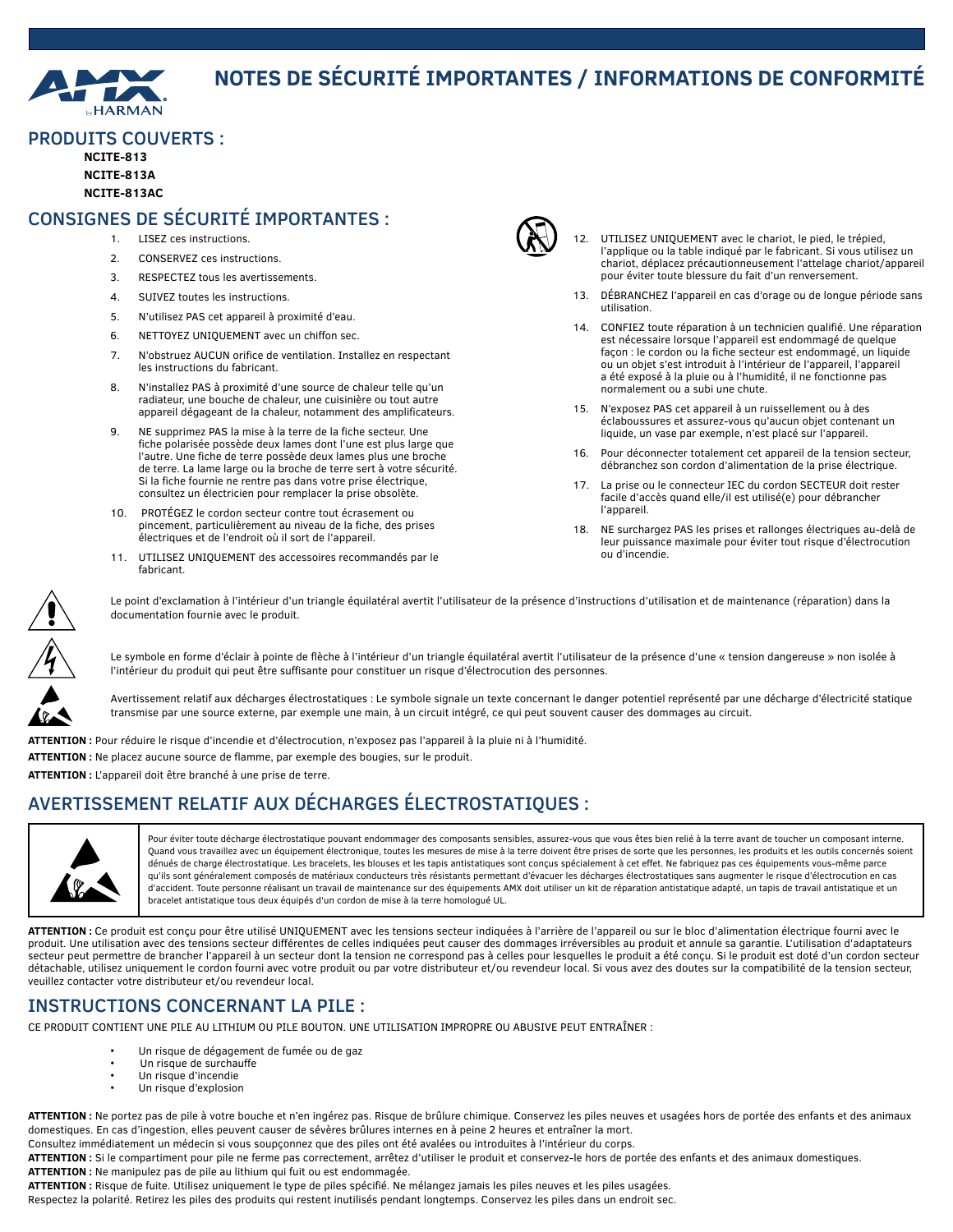

# **NOTES DE SÉCURITÉ IMPORTANTES / INFORMATIONS DE CONFORMITÉ**

#### PRODUITS COUVERTS :

**NCITE-813 NCITE-813A NCITE-813AC**

## CONSIGNES DE SÉCURITÉ IMPORTANTES :

- 1. LISEZ ces instructions.
- 2. CONSERVEZ ces instructions.
- 3. RESPECTEZ tous les avertissements.
- 4. SUIVEZ toutes les instructions.
- 5. N'utilisez PAS cet appareil à proximité d'eau.
- 6. NETTOYEZ UNIQUEMENT avec un chiffon sec.
- 7. N'obstruez AUCUN orifice de ventilation. Installez en respectant les instructions du fabricant.
- 8. N'installez PAS à proximité d'une source de chaleur telle qu'un radiateur, une bouche de chaleur, une cuisinière ou tout autre appareil dégageant de la chaleur, notamment des amplificateurs.
- 9. NE supprimez PAS la mise à la terre de la fiche secteur. Une fiche polarisée possède deux lames dont l'une est plus large que l'autre. Une fiche de terre possède deux lames plus une broche de terre. La lame large ou la broche de terre sert à votre sécurité. Si la fiche fournie ne rentre pas dans votre prise électrique, consultez un électricien pour remplacer la prise obsolète.
- 10. PROTÉGEZ le cordon secteur contre tout écrasement ou pincement, particulièrement au niveau de la fiche, des prises électriques et de l'endroit où il sort de l'appareil.
- 11. UTILISEZ UNIQUEMENT des accessoires recommandés par le fabricant.



- 12. UTILISEZ UNIQUEMENT avec le chariot, le pied, le trépied, l'applique ou la table indiqué par le fabricant. Si vous utilisez un chariot, déplacez précautionneusement l'attelage chariot/appareil pour éviter toute blessure du fait d'un renversement.
- 13. DÉBRANCHEZ l'appareil en cas d'orage ou de longue période sans utilisation.
- 14. CONFIEZ toute réparation à un technicien qualifié. Une réparation est nécessaire lorsque l'appareil est endommagé de quelque façon : le cordon ou la fiche secteur est endommagé, un liquide ou un objet s'est introduit à l'intérieur de l'appareil, l'appareil a été exposé à la pluie ou à l'humidité, il ne fonctionne pas normalement ou a subi une chute.
- 15. N'exposez PAS cet appareil à un ruissellement ou à des éclaboussures et assurez-vous qu'aucun objet contenant un liquide, un vase par exemple, n'est placé sur l'appareil.
- 16. Pour déconnecter totalement cet appareil de la tension secteur, débranchez son cordon d'alimentation de la prise électrique.
- 17. La prise ou le connecteur IEC du cordon SECTEUR doit rester facile d'accès quand elle/il est utilisé(e) pour débrancher l'appareil.
- 18. NE surchargez PAS les prises et rallonges électriques au-delà de leur puissance maximale pour éviter tout risque d'électrocution ou d'incendie.



Le point d'exclamation à l'intérieur d'un triangle équilatéral avertit l'utilisateur de la présence d'instructions d'utilisation et de maintenance (réparation) dans la documentation fournie avec le produit.

Le symbole en forme d'éclair à pointe de flèche à l'intérieur d'un triangle équilatéral avertit l'utilisateur de la présence d'une « tension dangereuse » non isolée à l'intérieur du produit qui peut être suffisante pour constituer un risque d'électrocution des personnes.

Avertissement relatif aux décharges électrostatiques : Le symbole signale un texte concernant le danger potentiel représenté par une décharge d'électricité statique transmise par une source externe, par exemple une main, à un circuit intégré, ce qui peut souvent causer des dommages au circuit.

**ATTENTION :** Pour réduire le risque d'incendie et d'électrocution, n'exposez pas l'appareil à la pluie ni à l'humidité. **ATTENTION :** Ne placez aucune source de flamme, par exemple des bougies, sur le produit.

**ATTENTION :** L'appareil doit être branché à une prise de terre.

# AVERTISSEMENT RELATIF AUX DÉCHARGES ÉLECTROSTATIQUES :



Pour éviter toute décharge électrostatique pouvant endommager des composants sensibles, assurez-vous que vous êtes bien relié à la terre avant de toucher un composant interne. Quand vous travaillez avec un équipement électronique, toutes les mesures de mise à la terre doivent être prises de sorte que les personnes, les produits et les outils concernés soient dénués de charge électrostatique. Les bracelets, les blouses et les tapis antistatiques sont conçus spécialement à cet effet. Ne fabriquez pas ces équipements vous-même parce qu'ils sont généralement composés de matériaux conducteurs très résistants permettant d'évacuer les décharges électrostatiques sans augmenter le risque d'électrocution en cas d'accident. Toute personne réalisant un travail de maintenance sur des équipements AMX doit utiliser un kit de réparation antistatique adapté, un tapis de travail antistatique et un bracelet antistatique tous deux équipés d'un cordon de mise à la terre homologué UL.

**ATTENTION :** Ce produit est conçu pour être utilisé UNIQUEMENT avec les tensions secteur indiquées à l'arrière de l'appareil ou sur le bloc d'alimentation électrique fourni avec le produit. Une utilisation avec des tensions secteur différentes de celles indiquées peut causer des dommages irréversibles au produit et annule sa garantie. L'utilisation d'adaptateurs secteur peut permettre de brancher l'appareil à un secteur dont la tension ne correspond pas à celles pour lesquelles le produit a été conçu. Si le produit est doté d'un cordon secteur détachable, utilisez uniquement le cordon fourni avec votre produit ou par votre distributeur et/ou revendeur local. Si vous avez des doutes sur la compatibilité de la tension secteur, veuillez contacter votre distributeur et/ou revendeur local.

### INSTRUCTIONS CONCERNANT LA PILE :

CE PRODUIT CONTIENT UNE PILE AU LITHIUM OU PILE BOUTON. UNE UTILISATION IMPROPRE OU ABUSIVE PEUT ENTRAÎNER :

- Un risque de dégagement de fumée ou de gaz
	- Un risque de surchauffe
- Un risque d'incendie
- Un risque d'explosion

**ATTENTION :** Ne portez pas de pile à votre bouche et n'en ingérez pas. Risque de brûlure chimique. Conservez les piles neuves et usagées hors de portée des enfants et des animaux domestiques. En cas d'ingestion, elles peuvent causer de sévères brûlures internes en à peine 2 heures et entraîner la mort.

Consultez immédiatement un médecin si vous soupçonnez que des piles ont été avalées ou introduites à l'intérieur du corps.

**ATTENTION :** Si le compartiment pour pile ne ferme pas correctement, arrêtez d'utiliser le produit et conservez-le hors de portée des enfants et des animaux domestiques. **ATTENTION :** Ne manipulez pas de pile au lithium qui fuit ou est endommagée.

**ATTENTION :** Risque de fuite. Utilisez uniquement le type de piles spécifié. Ne mélangez jamais les piles neuves et les piles usagées.

Respectez la polarité. Retirez les piles des produits qui restent inutilisés pendant longtemps. Conservez les piles dans un endroit sec.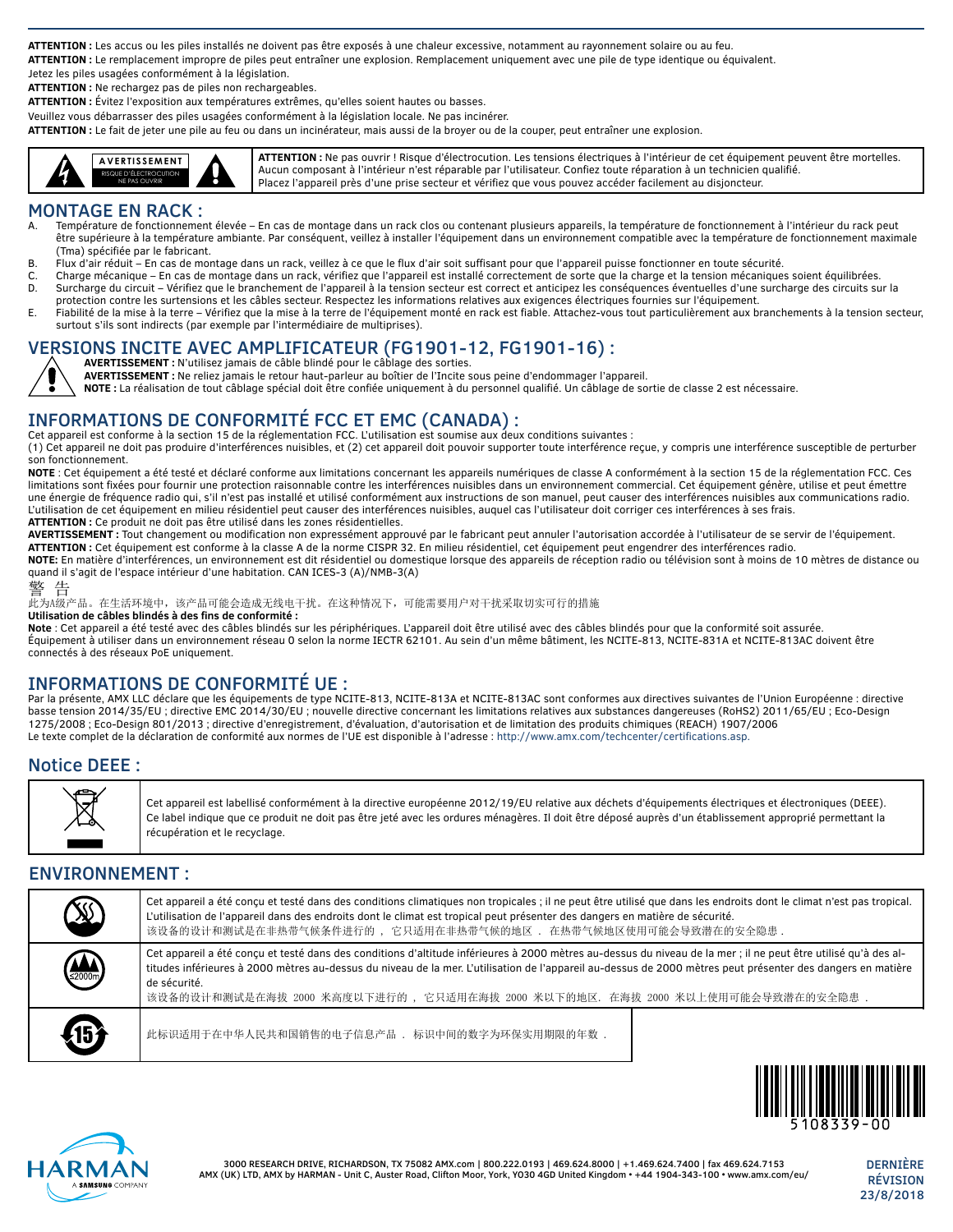**ATTENTION :** Les accus ou les piles installés ne doivent pas être exposés à une chaleur excessive, notamment au rayonnement solaire ou au feu.

**ATTENTION :** Le remplacement impropre de piles peut entraîner une explosion. Remplacement uniquement avec une pile de type identique ou équivalent.

Jetez les piles usagées conformément à la législation. **ATTENTION :** Ne rechargez pas de piles non rechargeables.

**ATTENTION :** Évitez l'exposition aux températures extrêmes, qu'elles soient hautes ou basses.

Veuillez vous débarrasser des piles usagées conformément à la législation locale. Ne pas incinérer.

**ATTENTION :** Le fait de jeter une pile au feu ou dans un incinérateur, mais aussi de la broyer ou de la couper, peut entraîner une explosion.



**ATTENTION :** Ne pas ouvrir ! Risque d'électrocution. Les tensions électriques à l'intérieur de cet équipement peuvent être mortelles. Aucun composant à l'intérieur n'est réparable par l'utilisateur. Confiez toute réparation à un technicien qualifié. Placez l'appareil près d'une prise secteur et vérifiez que vous pouvez accéder facilement au disjoncteur.

#### MONTAGE EN RACK :

- Température de fonctionnement élevée En cas de montage dans un rack clos ou contenant plusieurs appareils, la température de fonctionnement à l'intérieur du rack peut être supérieure à la température ambiante. Par conséquent, veillez à installer l'équipement dans un environnement compatible avec la température de fonctionnement maximale (Tma) spécifiée par le fabricant.
- B. Flux d'air réduit En cas de montage dans un rack, veillez à ce que le flux d'air soit suffisant pour que l'appareil puisse fonctionner en toute sécurité.
- C. Charge mécanique En cas de montage dans un rack, vérifiez que l'appareil est installé correctement de sorte que la charge et la tension mécaniques soient équilibrées.<br>De la surcharge du circuit Vérifiez que le branc
- Surcharge du circuit Vérifiez que le branchement de l'appareil à la tension secteur est correct et anticipez les conséquences éventuelles d'une surcharge des circuits sur la protection contre les surtensions et les câbles secteur. Respectez les informations relatives aux exigences électriques fournies sur l'équipement.
- E. Fiabilité de la mise à la terre Vérifiez que la mise à la terre de l'équipement monté en rack est fiable. Attachez-vous tout particulièrement aux branchements à la tension secteur, surtout s'ils sont indirects (par exemple par l'intermédiaire de multiprises).

### VERSIONS INCITE AVEC AMPLIFICATEUR (FG1901-12, FG1901-16) :

**AVERTISSEMENT :** N'utilisez jamais de câble blindé pour le câblage des sorties.

**AVERTISSEMENT :** Ne reliez jamais le retour haut-parleur au boîtier de l'Incite sous peine d'endommager l'appareil.

**NOTE :** La réalisation de tout câblage spécial doit être confiée uniquement à du personnel qualifié. Un câblage de sortie de classe 2 est nécessaire.

### INFORMATIONS DE CONFORMITÉ FCC ET EMC (CANADA) :

Cet appareil est conforme à la section 15 de la réglementation FCC. L'utilisation est soumise aux deux conditions suivantes : (1) Cet appareil ne doit pas produire d'interférences nuisibles, et (2) cet appareil doit pouvoir supporter toute interférence reçue, y compris une interférence susceptible de perturber son fonctionnement.

**NOTE** : Cet équipement a été testé et déclaré conforme aux limitations concernant les appareils numériques de classe A conformément à la section 15 de la réglementation FCC. Ces limitations sont fixées pour fournir une protection raisonnable contre les interférences nuisibles dans un environnement commercial. Cet équipement génère, utilise et peut émettre une énergie de fréquence radio qui, s'il n'est pas installé et utilisé conformément aux instructions de son manuel, peut causer des interférences nuisibles aux communications radio. L'utilisation de cet équipement en milieu résidentiel peut causer des interférences nuisibles, auquel cas l'utilisateur doit corriger ces interférences à ses frais. **ATTENTION :** Ce produit ne doit pas être utilisé dans les zones résidentielles.

**AVERTISSEMENT :** Tout changement ou modification non expressément approuvé par le fabricant peut annuler l'autorisation accordée à l'utilisateur de se servir de l'équipement. **ATTENTION :** Cet équipement est conforme à la classe A de la norme CISPR 32. En milieu résidentiel, cet équipement peut engendrer des interférences radio.

**NOTE:** En matière d'interférences, un environnement est dit résidentiel ou domestique lorsque des appareils de réception radio ou télévision sont à moins de 10 mètres de distance ou quand il s'agit de l'espace intérieur d'une habitation. CAN ICES-3 (A)/NMB-3(A)

警 告

此为A级产品。在生活环境中,该产品可能会造成无线电干扰。在这种情况下,可能需要用户对干扰采取切实可行的措施

**Utilisation de câbles blindés à des fins de conformité :**

**Note** : Cet appareil a été testé avec des câbles blindés sur les périphériques. L'appareil doit être utilisé avec des câbles blindés pour que la conformité soit assurée. Équipement à utiliser dans un environnement réseau 0 selon la norme IECTR 62101. Au sein d'un même bâtiment, les NCITE-813, NCITE-831A et NCITE-813AC doivent être connectés à des réseaux PoE uniquement.

### INFORMATIONS DE CONFORMITÉ UE :

Par la présente, AMX LLC déclare que les équipements de type NCITE-813, NCITE-813A et NCITE-813AC sont conformes aux directives suivantes de l'Union Européenne : directive basse tension 2014/35/EU ; directive EMC 2014/30/EU ; nouvelle directive concernant les limitations relatives aux substances dangereuses (RoHS2) 2011/65/EU ; Eco-Design 1275/2008 ; Eco-Design 801/2013 ; directive d'enregistrement, d'évaluation, d'autorisation et de limitation des produits chimiques (REACH) 1907/2006 Le texte complet de la déclaration de conformité aux normes de l'UE est disponible à l'adresse : http://www.amx.com/techcenter/certifications.asp.

### Notice DEEE :



Cet appareil est labellisé conformément à la directive européenne 2012/19/EU relative aux déchets d'équipements électriques et électroniques (DEEE). Ce label indique que ce produit ne doit pas être jeté avec les ordures ménagères. Il doit être déposé auprès d'un établissement approprié permettant la récupération et le recyclage.

#### ENVIRONNEMENT :

| <b>SSS</b>  | Cet appareil a été conçu et testé dans des conditions climatiques non tropicales; il ne peut être utilisé que dans les endroits dont le climat n'est pas tropical.<br>L'utilisation de l'appareil dans des endroits dont le climat est tropical peut présenter des dangers en matière de sécurité.<br>该设备的设计和测试是在非热带气候条件进行的, 它只适用在非热带气候的地区, 在热带气候地区使用可能会导致潜在的安全隐患.                                                             |  |
|-------------|--------------------------------------------------------------------------------------------------------------------------------------------------------------------------------------------------------------------------------------------------------------------------------------------------------------------------------------------------------------------------------------------------------------------------------|--|
| (AD)        | Cet appareil a été concu et testé dans des conditions d'altitude inférieures à 2000 mètres au-dessus du niveau de la mer ; il ne peut être utilisé qu'à des al-<br>titudes inférieures à 2000 mètres au-dessus du niveau de la mer. L'utilisation de l'appareil au-dessus de 2000 mètres peut présenter des dangers en matière<br>de sécurité.<br>该设备的设计和测试是在海拔 2000 米高度以下进行的, 它只适用在海拔 2000 米以下的地区. 在海拔 2000 米以上使用可能会导致潜在的安全隐患 |  |
| $\sqrt{15}$ | 此标识适用于在中华人民共和国销售的电子信息产品 . 标识中间的数字为环保实用期限的年数.                                                                                                                                                                                                                                                                                                                                                                                   |  |



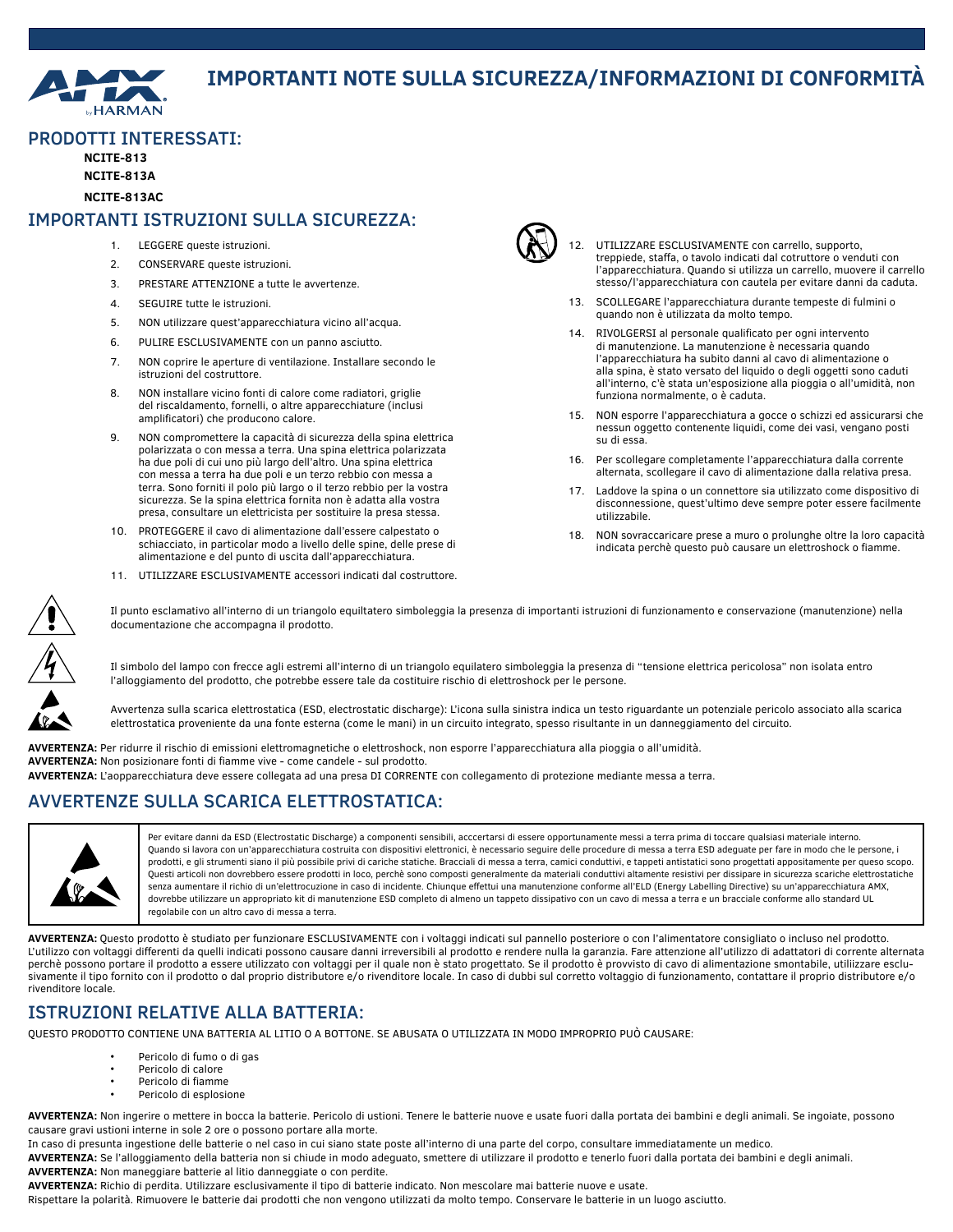

# **IMPORTANTI NOTE SULLA SICUREZZA/INFORMAZIONI DI CONFORMITÀ**

#### PRODOTTI INTERESSATI:

**NCITE-813**

**NCITE-813A**

**NCITE-813AC**

#### IMPORTANTI ISTRUZIONI SULLA SICUREZZA:

- 1. LEGGERE queste istruzioni.
- 2. CONSERVARE queste istruzioni.
- 3. PRESTARE ATTENZIONE a tutte le avvertenze.
- 4. SEGUIRE tutte le istruzioni.
- 5. NON utilizzare quest'apparecchiatura vicino all'acqua.
- 6. PULIRE ESCLUSIVAMENTE con un panno asciutto.
- 7. NON coprire le aperture di ventilazione. Installare secondo le istruzioni del costruttore.
- 8. NON installare vicino fonti di calore come radiatori, griglie del riscaldamento, fornelli, o altre apparecchiature (inclusi amplificatori) che producono calore.
- 9. NON compromettere la capacità di sicurezza della spina elettrica polarizzata o con messa a terra. Una spina elettrica polarizzata ha due poli di cui uno più largo dell'altro. Una spina elettrica con messa a terra ha due poli e un terzo rebbio con messa a terra. Sono forniti il polo più largo o il terzo rebbio per la vostra sicurezza. Se la spina elettrica fornita non è adatta alla vostra presa, consultare un elettricista per sostituire la presa stessa.
- 10. PROTEGGERE il cavo di alimentazione dall'essere calpestato o schiacciato, in particolar modo a livello delle spine, delle prese di alimentazione e del punto di uscita dall'apparecchiatura.
- 11. UTILIZZARE ESCLUSIVAMENTE accessori indicati dal costruttore.



- 12. UTILIZZARE ESCLUSIVAMENTE con carrello, supporto, treppiede, staffa, o tavolo indicati dal cotruttore o venduti con l'apparecchiatura. Quando si utilizza un carrello, muovere il carrello stesso/l'apparecchiatura con cautela per evitare danni da caduta.
- 13. SCOLLEGARE l'apparecchiatura durante tempeste di fulmini o quando non è utilizzata da molto tempo.
- 14. RIVOLGERSI al personale qualificato per ogni intervento di manutenzione. La manutenzione è necessaria quando l'apparecchiatura ha subito danni al cavo di alimentazione o alla spina, è stato versato del liquido o degli oggetti sono caduti all'interno, c'è stata un'esposizione alla pioggia o all'umidità, non funziona normalmente, o è caduta.
- 15. NON esporre l'apparecchiatura a gocce o schizzi ed assicurarsi che nessun oggetto contenente liquidi, come dei vasi, vengano posti su di essa.
- 16. Per scollegare completamente l'apparecchiatura dalla corrente alternata, scollegare il cavo di alimentazione dalla relativa presa.
- 17. Laddove la spina o un connettore sia utilizzato come dispositivo di disconnessione, quest'ultimo deve sempre poter essere facilmente utilizzabile.
- 18. NON sovraccaricare prese a muro o prolunghe oltre la loro capacità indicata perchè questo può causare un elettroshock o fiamme.



Il punto esclamativo all'interno di un triangolo equiltatero simboleggia la presenza di importanti istruzioni di funzionamento e conservazione (manutenzione) nella documentazione che accompagna il prodotto.

Il simbolo del lampo con frecce agli estremi all'interno di un triangolo equilatero simboleggia la presenza di "tensione elettrica pericolosa" non isolata entro l'alloggiamento del prodotto, che potrebbe essere tale da costituire rischio di elettroshock per le persone.

Avvertenza sulla scarica elettrostatica (ESD, electrostatic discharge): L'icona sulla sinistra indica un testo riguardante un potenziale pericolo associato alla scarica elettrostatica proveniente da una fonte esterna (come le mani) in un circuito integrato, spesso risultante in un danneggiamento del circuito.

**AVVERTENZA:** Per ridurre il rischio di emissioni elettromagnetiche o elettroshock, non esporre l'apparecchiatura alla pioggia o all'umidità. **AVVERTENZA:** Non posizionare fonti di fiamme vive - come candele - sul prodotto. **AVVERTENZA:** L'aopparecchiatura deve essere collegata ad una presa DI CORRENTE con collegamento di protezione mediante messa a terra.

### AVVERTENZE SULLA SCARICA ELETTROSTATICA:



Per evitare danni da ESD (Electrostatic Discharge) a componenti sensibili, acccertarsi di essere opportunamente messi a terra prima di toccare qualsiasi materiale interno. Quando si lavora con un'apparecchiatura costruita con dispositivi elettronici, è necessario seguire delle procedure di messa a terra ESD adeguate per fare in modo che le persone, i prodotti, e gli strumenti siano il più possibile privi di cariche statiche. Bracciali di messa a terra, camici conduttivi, e tappeti antistatici sono progettati appositamente per queso scopo. Questi articoli non dovrebbero essere prodotti in loco, perchè sono composti generalmente da materiali conduttivi altamente resistivi per dissipare in sicurezza scariche elettrostatiche senza aumentare il richio di un'elettrocuzione in caso di incidente. Chiunque effettui una manutenzione conforme all'ELD (Energy Labelling Directive) su un'apparecchiatura AMX, dovrebbe utilizzare un appropriato kit di manutenzione ESD completo di almeno un tappeto dissipativo con un cavo di messa a terra e un bracciale conforme allo standard UL regolabile con un altro cavo di messa a terra.

**AVVERTENZA:** Questo prodotto è studiato per funzionare ESCLUSIVAMENTE con i voltaggi indicati sul pannello posteriore o con l'alimentatore consigliato o incluso nel prodotto. L'utilizzo con voltaggi differenti da quelli indicati possono causare danni irreversibili al prodotto e rendere nulla la garanzia. Fare attenzione all'utilizzo di adattatori di corrente alternata perchè possono portare il prodotto a essere utilizzato con voltaggi per il quale non è stato progettato. Se il prodotto è provvisto di cavo di alimentazione smontabile, utiliizzare esclusivamente il tipo fornito con il prodotto o dal proprio distributore e/o rivenditore locale. In caso di dubbi sul corretto voltaggio di funzionamento, contattare il proprio distributore e/o rivenditore locale.

### ISTRUZIONI RELATIVE ALLA BATTERIA:

QUESTO PRODOTTO CONTIENE UNA BATTERIA AL LITIO O A BOTTONE. SE ABUSATA O UTILIZZATA IN MODO IMPROPRIO PUÒ CAUSARE:

- Pericolo di fumo o di gas
- Pericolo di calore
- Pericolo di fiamme
- Pericolo di esplosione

**AVVERTENZA:** Non ingerire o mettere in bocca la batterie. Pericolo di ustioni. Tenere le batterie nuove e usate fuori dalla portata dei bambini e degli animali. Se ingoiate, possono causare gravi ustioni interne in sole 2 ore o possono portare alla morte.

In caso di presunta ingestione delle batterie o nel caso in cui siano state poste all'interno di una parte del corpo, consultare immediatamente un medico. **AVVERTENZA:** Se l'alloggiamento della batteria non si chiude in modo adeguato, smettere di utilizzare il prodotto e tenerlo fuori dalla portata dei bambini e degli animali. **AVVERTENZA:** Non maneggiare batterie al litio danneggiate o con perdite.

**AVVERTENZA:** Richio di perdita. Utilizzare esclusivamente il tipo di batterie indicato. Non mescolare mai batterie nuove e usate.

Rispettare la polarità. Rimuovere le batterie dai prodotti che non vengono utilizzati da molto tempo. Conservare le batterie in un luogo asciutto.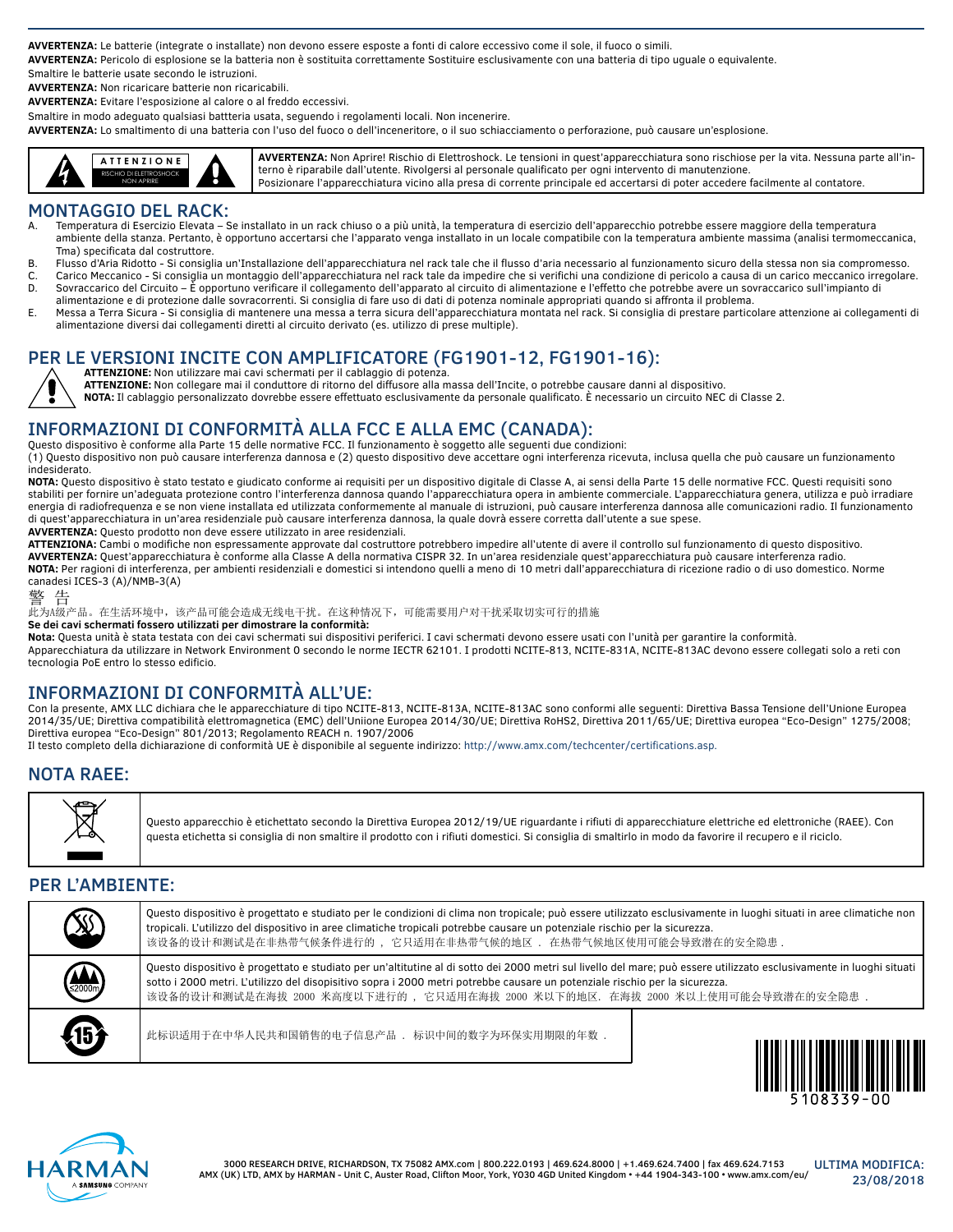**AVVERTENZA:** Le batterie (integrate o installate) non devono essere esposte a fonti di calore eccessivo come il sole, il fuoco o simili.

**AVVERTENZA:** Pericolo di esplosione se la batteria non è sostituita correttamente Sostituire esclusivamente con una batteria di tipo uguale o equivalente.

Smaltire le batterie usate secondo le istruzioni.

**AVVERTENZA:** Non ricaricare batterie non ricaricabili.

**AVVERTENZA:** Evitare l'esposizione al calore o al freddo eccessivi.

Smaltire in modo adeguato qualsiasi battteria usata, seguendo i regolamenti locali. Non incenerire.

**AVVERTENZA:** Lo smaltimento di una batteria con l'uso del fuoco o dell'inceneritore, o il suo schiacciamento o perforazione, può causare un'esplosione.



**AVVERTENZA:** Non Aprire! Rischio di Elettroshock. Le tensioni in quest'apparecchiatura sono rischiose per la vita. Nessuna parte all'interno è riparabile dall'utente. Rivolgersi al personale qualificato per ogni intervento di manutenzione. Posizionare l'apparecchiatura vicino alla presa di corrente principale ed accertarsi di poter accedere facilmente al contatore.

### MONTAGGIO DEL RACK:

- Temperatura di Esercizio Elevata Se installato in un rack chiuso o a più unità, la temperatura di esercizio dell'apparecchio potrebbe essere maggiore della temperatura ambiente della stanza. Pertanto, è opportuno accertarsi che l'apparato venga installato in un locale compatibile con la temperatura ambiente massima (analisi termomeccanica, Tma) specificata dal costruttore.
- B. Flusso d'Aria Ridotto Si consiglia un'Installazione dell'apparecchiatura nel rack tale che il flusso d'aria necessario al funzionamento sicuro della stessa non sia compromesso.
- C. Carico Meccanico Si consiglia un montaggio dell'apparecchiatura nel rack tale da impedire che si verifichi una condizione di pericolo a causa di un carico meccanico irregolare.<br>Desponsanzazione del Circuito È opport
- Sovraccarico del Circuito È opportuno verificare il collegamento dell'apparato al circuito di alimentazione e l'effetto che potrebbe avere un sovraccarico sull'impianto di alimentazione e di protezione dalle sovracorrenti. Si consiglia di fare uso di dati di potenza nominale appropriati quando si affronta il problema.
- E. Messa a Terra Sicura Si consiglia di mantenere una messa a terra sicura dell'apparecchiatura montata nel rack. Si consiglia di prestare particolare attenzione ai collegamenti di alimentazione diversi dai collegamenti diretti al circuito derivato (es. utilizzo di prese multiple).

# PER LE VERSIONI INCITE CON AMPLIFICATORE (FG1901-12, FG1901-16):

**ATTENZIONE:** Non utilizzare mai cavi schermati per il cablaggio di potenza.

**ATTENZIONE:** Non collegare mai il conduttore di ritorno del diffusore alla massa dell'Incite, o potrebbe causare danni al dispositivo.

**NOTA:** Il cablaggio personalizzato dovrebbe essere effettuato esclusivamente da personale qualificato. È necessario un circuito NEC di Classe 2.

### INFORMAZIONI DI CONFORMITÀ ALLA FCC E ALLA EMC (CANADA):

Questo dispositivo è conforme alla Parte 15 delle normative FCC. Il funzionamento è soggetto alle seguenti due condizioni: (1) Questo dispositivo non può causare interferenza dannosa e (2) questo dispositivo deve accettare ogni interferenza ricevuta, inclusa quella che può causare un funzionamento indesiderato.

**NOTA:** Questo dispositivo è stato testato e giudicato conforme ai requisiti per un dispositivo digitale di Classe A, ai sensi della Parte 15 delle normative FCC. Questi requisiti sono stabiliti per fornire un'adeguata protezione contro l'interferenza dannosa quando l'apparecchiatura opera in ambiente commerciale. L'apparecchiatura genera, utilizza e può irradiare energia di radiofrequenza e se non viene installata ed utilizzata conformemente al manuale di istruzioni, può causare interferenza dannosa alle comunicazioni radio. Il funzionamento di quest'apparecchiatura in un'area residenziale può causare interferenza dannosa, la quale dovrà essere corretta dall'utente a sue spese. **AVVERTENZA:** Questo prodotto non deve essere utilizzato in aree residenziali.

**ATTENZIONA:** Cambi o modifiche non espressamente approvate dal costruttore potrebbero impedire all'utente di avere il controllo sul funzionamento di questo dispositivo. **AVVERTENZA:** Quest'apparecchiatura è conforme alla Classe A della normativa CISPR 32. In un'area residenziale quest'apparecchiatura può causare interferenza radio. **NOTA:** Per ragioni di interferenza, per ambienti residenziali e domestici si intendono quelli a meno di 10 metri dall'apparecchiatura di ricezione radio o di uso domestico. Norme canadesi ICES-3 (A)/NMB-3(A)

#### 警 告

此为A级产品。在生活环境中,该产品可能会造成无线电干扰。在这种情况下,可能需要用户对干扰采取切实可行的措施

**Se dei cavi schermati fossero utilizzati per dimostrare la conformità:**

**Nota:** Questa unità è stata testata con dei cavi schermati sui dispositivi periferici. I cavi schermati devono essere usati con l'unità per garantire la conformità. Apparecchiatura da utilizzare in Network Environment 0 secondo le norme IECTR 62101. I prodotti NCITE-813, NCITE-831A, NCITE-813AC devono essere collegati solo a reti con tecnologia PoE entro lo stesso edificio.

### INFORMAZIONI DI CONFORMITÀ ALL'UE:

Con la presente, AMX LLC dichiara che le apparecchiature di tipo NCITE-813, NCITE-813A, NCITE-813AC sono conformi alle seguenti: Direttiva Bassa Tensione dell'Unione Europea 2014/35/UE; Direttiva compatibilità elettromagnetica (EMC) dell'Uniione Europea 2014/30/UE; Direttiva RoHS2, Direttiva 2011/65/UE; Direttiva europea "Eco-Design" 1275/2008; Direttiva europea "Eco-Design" 801/2013; Regolamento REACH n. 1907/2006

Il testo completo della dichiarazione di conformità UE è disponibile al seguente indirizzo: http://www.amx.com/techcenter/certifications.asp.

### NOTA RAEE:



Questo apparecchio è etichettato secondo la Direttiva Europea 2012/19/UE riguardante i rifiuti di apparecchiature elettriche ed elettroniche (RAEE). Con questa etichetta si consiglia di non smaltire il prodotto con i rifiuti domestici. Si consiglia di smaltirlo in modo da favorire il recupero e il riciclo.

### PER L'AMBIENTE:

| X   | Questo dispositivo è progettato e studiato per le condizioni di clima non tropicale; può essere utilizzato esclusivamente in luoghi situati in aree climatiche non<br>tropicali. L'utilizzo del dispositivo in aree climatiche tropicali potrebbe causare un potenziale rischio per la sicurezza.<br>该设备的设计和测试是在非热带气候条件进行的, 它只适用在非热带气候的地区, 在热带气候地区使用可能会导致潜在的安全隐患,                    |                                                 |
|-----|--------------------------------------------------------------------------------------------------------------------------------------------------------------------------------------------------------------------------------------------------------------------------------------------------------------------------------------------------------------------------------------|-------------------------------------------------|
| (A) | Questo dispositivo è progettato e studiato per un'altitutine al di sotto dei 2000 metri sul livello del mare; può essere utilizzato esclusivamente in luoghi situati<br>sotto i 2000 metri. L'utilizzo del disopisitivo sopra i 2000 metri potrebbe causare un potenziale rischio per la sicurezza.<br>该设备的设计和测试是在海拔 2000 米高度以下进行的 ,它只适用在海拔 2000 米以下的地区,在海拔 2000 米以上使用可能会导致潜在的安全隐患 . |                                                 |
| 45  | 此标识适用于在中华人民共和国销售的电子信息产品 . 标识中间的数字为环保实用期限的年数.                                                                                                                                                                                                                                                                                                                                         | <u> ALAMAN I ATITI A TANAH TALIM TALIMIN AH</u> |

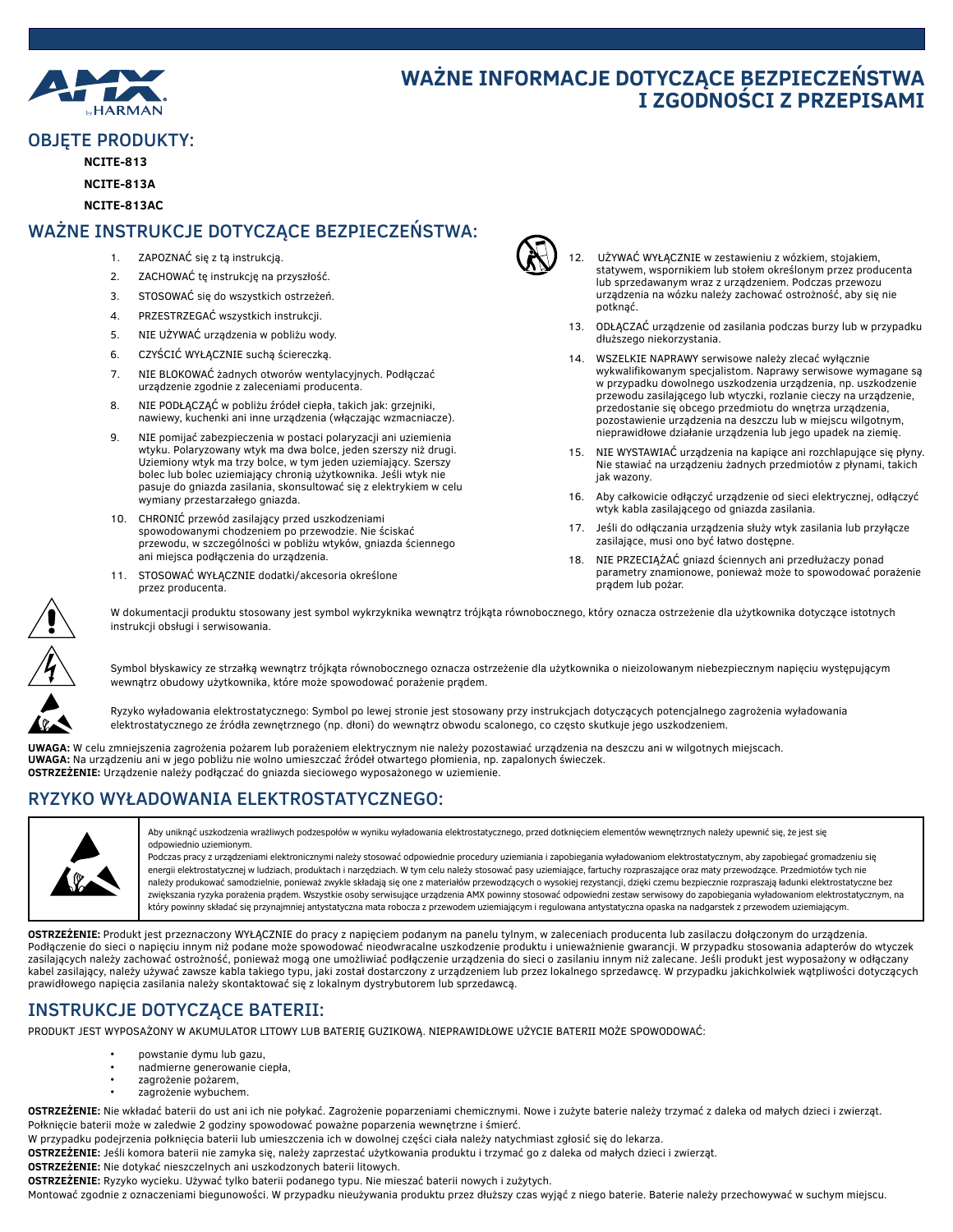

# **WAŻNE INFORMACJE DOTYCZĄCE BEZPIECZEŃSTWA I ZGODNOŚCI Z PRZEPISAMI**

### OBJĘTE PRODUKTY:

**NCITE-813**

#### **NCITE-813A**

**NCITE-813AC**

### WAŻNE INSTRUKCJE DOTYCZĄCE BEZPIECZEŃSTWA:

- 1. ZAPOZNAĆ się z tą instrukcją.
- 2. ZACHOWAĆ tę instrukcję na przyszłość.
- 3. STOSOWAĆ się do wszystkich ostrzeżeń.
- 4. PRZESTRZEGAĆ wszystkich instrukcji.
- 5. NIE UŻYWAĆ urządzenia w pobliżu wody.
- 6. CZYŚCIĆ WYŁĄCZNIE suchą ściereczką.
- 7. NIE BLOKOWAĆ żadnych otworów wentylacyjnych. Podłączać urządzenie zgodnie z zaleceniami producenta.
- 8. NIE PODŁĄCZĄĆ w pobliżu źródeł ciepła, takich jak: grzejniki, nawiewy, kuchenki ani inne urządzenia (włączając wzmacniacze).
- 9. NIE pomijać zabezpieczenia w postaci polaryzacji ani uziemienia wtyku. Polaryzowany wtyk ma dwa bolce, jeden szerszy niż drugi. Uziemiony wtyk ma trzy bolce, w tym jeden uziemiający. Szerszy bolec lub bolec uziemiający chronią użytkownika. Jeśli wtyk nie pasuje do gniazda zasilania, skonsultować się z elektrykiem w celu wymiany przestarzałego gniazda.
- 10. CHRONIĆ przewód zasilający przed uszkodzeniami spowodowanymi chodzeniem po przewodzie. Nie ściskać przewodu, w szczególności w pobliżu wtyków, gniazda ściennego ani miejsca podłączenia do urządzenia.
- 11. STOSOWAĆ WYŁĄCZNIE dodatki/akcesoria określone przez producenta.



- 12. UŻYWAĆ WYŁĄCZNIE w zestawieniu z wózkiem, stojakiem, statywem, wspornikiem lub stołem określonym przez producenta lub sprzedawanym wraz z urządzeniem. Podczas przewozu urządzenia na wózku należy zachować ostrożność, aby się nie potknąć.
- 13. ODŁĄCZAĆ urządzenie od zasilania podczas burzy lub w przypadku dłuższego niekorzystania.
- 14. WSZELKIE NAPRAWY serwisowe należy zlecać wyłącznie wykwalifikowanym specjalistom. Naprawy serwisowe wymagane są w przypadku dowolnego uszkodzenia urządzenia, np. uszkodzenie przewodu zasilającego lub wtyczki, rozlanie cieczy na urządzenie, przedostanie się obcego przedmiotu do wnętrza urządzenia, pozostawienie urządzenia na deszczu lub w miejscu wilgotnym, nieprawidłowe działanie urządzenia lub jego upadek na ziemię.
- 15. NIE WYSTAWIAĆ urządzenia na kapiące ani rozchlapujące się płyny. Nie stawiać na urządzeniu żadnych przedmiotów z płynami, takich jak wazony.
- 16. Aby całkowicie odłączyć urządzenie od sieci elektrycznej, odłączyć wtyk kabla zasilającego od gniazda zasilania.
- 17. Jeśli do odłączania urządzenia służy wtyk zasilania lub przyłącze zasilające, musi ono być łatwo dostępne.
- 18. NIE PRZECIĄŻAĆ gniazd ściennych ani przedłużaczy ponad parametry znamionowe, ponieważ może to spowodować porażenie prądem lub pożar.



W dokumentacji produktu stosowany jest symbol wykrzyknika wewnątrz trójkąta równobocznego, który oznacza ostrzeżenie dla użytkownika dotyczące istotnych instrukcji obsługi i serwisowania.

Symbol błyskawicy ze strzałką wewnątrz trójkąta równobocznego oznacza ostrzeżenie dla użytkownika o nieizolowanym niebezpiecznym napięciu występującym wewnątrz obudowy użytkownika, które może spowodować porażenie prądem.



Ryzyko wyładowania elektrostatycznego: Symbol po lewej stronie jest stosowany przy instrukcjach dotyczących potencjalnego zagrożenia wyładowania elektrostatycznego ze źródła zewnętrznego (np. dłoni) do wewnątrz obwodu scalonego, co często skutkuje jego uszkodzeniem.

**UWAGA:** W celu zmniejszenia zagrożenia pożarem lub porażeniem elektrycznym nie należy pozostawiać urządzenia na deszczu ani w wilgotnych miejscach. **UWAGA:** Na urządzeniu ani w jego pobliżu nie wolno umieszczać źródeł otwartego płomienia, np. zapalonych świeczek. **OSTRZEŻENIE:** Urządzenie należy podłączać do gniazda sieciowego wyposażonego w uziemienie.

### RYZYKO WYŁADOWANIA ELEKTROSTATYCZNEGO:



Aby uniknąć uszkodzenia wrażliwych podzespołów w wyniku wyładowania elektrostatycznego, przed dotknięciem elementów wewnętrznych należy upewnić się, że jest się odpowiednio uziemionym.

Podczas pracy z urządzeniami elektronicznymi należy stosować odpowiednie procedury uziemiania i zapobiegania wyładowaniom elektrostatycznym, aby zapobiegać gromadzeniu się energii elektrostatycznej w ludziach, produktach i narzędziach. W tym celu należy stosować pasy uziemiające, fartuchy rozpraszające oraz maty przewodzące. Przedmiotów tych nie należy produkować samodzielnie, ponieważ zwykle składają się one z materiałów przewodzących o wysokiej rezystancji, dzięki czemu bezpiecznie rozpraszają ładunki elektrostatyczne bez zwiększania ryzyka porażenia prądem. Wszystkie osoby serwisujące urządzenia AMX powinny stosować odpowiedni zestaw serwisowy do zapobiegania wyładowaniom elektrostatycznym, na który powinny składać się przynajmniej antystatyczna mata robocza z przewodem uziemiającym i regulowana antystatyczna opaska na nadgarstek z przewodem uziemiającym.

**OSTRZEŻENIE:** Produkt jest przeznaczony WYŁĄCZNIE do pracy z napięciem podanym na panelu tylnym, w zaleceniach producenta lub zasilaczu dołączonym do urządzenia. Podłączenie do sieci o napięciu innym niż podane może spowodować nieodwracalne uszkodzenie produktu i unieważnienie gwarancji. W przypadku stosowania adapterów do wtyczek zasilających należy zachować ostrożność, ponieważ mogą one umożliwiać podłączenie urządzenia do sieci o zasilaniu innym niż zalecane. Jeśli produkt jest wyposażony w odłączany kabel zasilający, należy używać zawsze kabla takiego typu, jaki został dostarczony z urządzeniem lub przez lokalnego sprzedawcę. W przypadku jakichkolwiek wątpliwości dotyczących prawidłowego napięcia zasilania należy skontaktować się z lokalnym dystrybutorem lub sprzedawcą.

# INSTRUKCJE DOTYCZĄCE BATERII:

PRODUKT JEST WYPOSAŻONY W AKUMULATOR LITOWY LUB BATERIĘ GUZIKOWĄ. NIEPRAWIDŁOWE UŻYCIE BATERII MOŻE SPOWODOWAĆ:

- powstanie dymu lub gazu,
- nadmierne generowanie ciepła,
- zagrożenie pożarem,
- zagrożenie wybuchem.

**OSTRZEŻENIE:** Nie wkładać baterii do ust ani ich nie połykać. Zagrożenie poparzeniami chemicznymi. Nowe i zużyte baterie należy trzymać z daleka od małych dzieci i zwierząt. Połknięcie baterii może w zaledwie 2 godziny spowodować poważne poparzenia wewnętrzne i śmierć.

W przypadku podejrzenia połknięcia baterii lub umieszczenia ich w dowolnej części ciała należy natychmiast zgłosić się do lekarza.

**OSTRZEŻENIE:** Jeśli komora baterii nie zamyka się, należy zaprzestać użytkowania produktu i trzymać go z daleka od małych dzieci i zwierząt.

**OSTRZEŻENIE:** Nie dotykać nieszczelnych ani uszkodzonych baterii litowych.

**OSTRZEŻENIE:** Ryzyko wycieku. Używać tylko baterii podanego typu. Nie mieszać baterii nowych i zużytych.

Montować zgodnie z oznaczeniami biegunowości. W przypadku nieużywania produktu przez dłuższy czas wyjąć z niego baterie. Baterie należy przechowywać w suchym miejscu.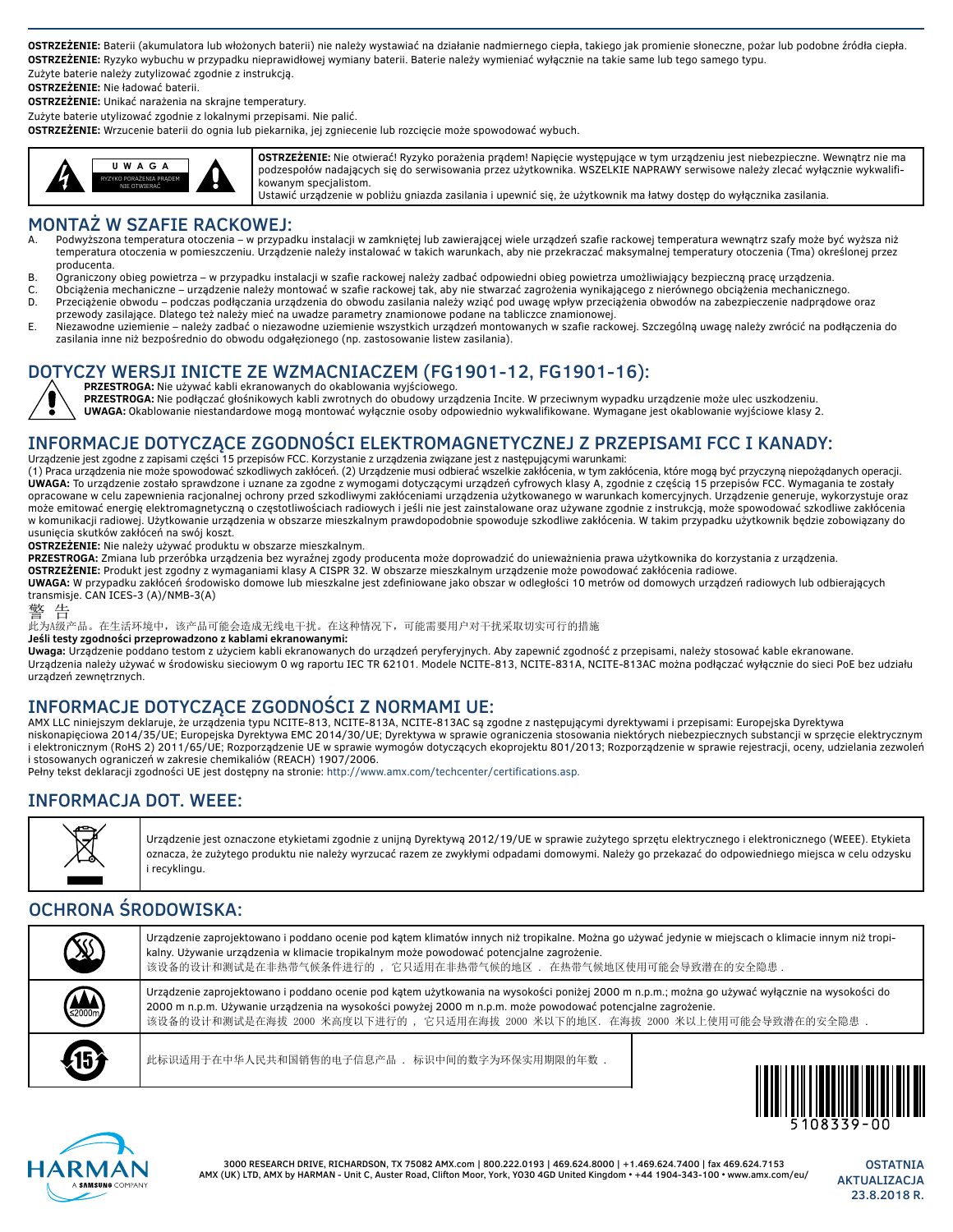**OSTRZEŻENIE:** Baterii (akumulatora lub włożonych baterii) nie należy wystawiać na działanie nadmiernego ciepła, takiego jak promienie słoneczne, pożar lub podobne źródła ciepła. **OSTRZEŻENIE:** Ryzyko wybuchu w przypadku nieprawidłowej wymiany baterii. Baterie należy wymieniać wyłącznie na takie same lub tego samego typu.

Zużyte baterie należy zutylizować zgodnie z instrukcją.

**OSTRZEŻENIE:** Nie ładować baterii.

**OSTRZEŻENIE:** Unikać narażenia na skrajne temperatury.

Zużyte baterie utylizować zgodnie z lokalnymi przepisami. Nie palić.

**OSTRZEŻENIE:** Wrzucenie baterii do ognia lub piekarnika, jej zgniecenie lub rozcięcie może spowodować wybuch.



**OSTRZEŻENIE:** Nie otwierać! Ryzyko porażenia prądem! Napięcie występujące w tym urządzeniu jest niebezpieczne. Wewnątrz nie ma podzespołów nadających się do serwisowania przez użytkownika. WSZELKIE NAPRAWY serwisowe należy zlecać wyłącznie wykwalifikowanym specjalistom.

Ustawić urządzenie w pobliżu gniazda zasilania i upewnić się, że użytkownik ma łatwy dostęp do wyłącznika zasilania.

### MONTAŻ W SZAFIE RACKOWEJ:

- Podwyższona temperatura otoczenia w przypadku instalacji w zamkniętej lub zawierającej wiele urządzeń szafie rackowej temperatura wewnątrz szafy może być wyższa niż temperatura otoczenia w pomieszczeniu. Urządzenie należy instalować w takich warunkach, aby nie przekraczać maksymalnej temperatury otoczenia (Tma) określonej przez producenta.
- B. Ograniczony obieg powietrza w przypadku instalacji w szafie rackowej należy zadbać odpowiedni obieg powietrza umożliwiający bezpieczną pracę urządzenia.
- C. Obciążenia mechaniczne urządzenie należy montować w szafie rackowej tak, aby nie stwarzać zagrożenia wynikającego z nierównego obciążenia mechanicznego. D. Przeciążenie obwodu – podczas podłączania urządzenia do obwodu zasilania należy wziąć pod uwagę wpływ przeciążenia obwodów na zabezpieczenie nadprądowe oraz
- przewody zasilające. Dlatego też należy mieć na uwadze parametry znamionowe podane na tabliczce znamionowej. E. Niezawodne uziemienie – należy zadbać o niezawodne uziemienie wszystkich urządzeń montowanych w szafie rackowej. Szczególną uwagę należy zwrócić na podłączenia do zasilania inne niż bezpośrednio do obwodu odgałęzionego (np. zastosowanie listew zasilania).

# DOTYCZY WERSJI INICTE ZE WZMACNIACZEM (FG1901-12, FG1901-16):

**PRZESTROGA:** Nie używać kabli ekranowanych do okablowania wyjściowego. **PRZESTROGA:** Nie podłączać głośnikowych kabli zwrotnych do obudowy urządzenia Incite. W przeciwnym wypadku urządzenie może ulec uszkodzeniu. **UWAGA:** Okablowanie niestandardowe mogą montować wyłącznie osoby odpowiednio wykwalifikowane. Wymagane jest okablowanie wyjściowe klasy 2.

## INFORMACJE DOTYCZĄCE ZGODNOŚCI ELEKTROMAGNETYCZNEJ Z PRZEPISAMI FCC I KANADY:

Urządzenie jest zgodne z zapisami części 15 przepisów FCC. Korzystanie z urządzenia związane jest z następującymi warunkami: (1) Praca urządzenia nie może spowodować szkodliwych zakłóceń. (2) Urządzenie musi odbierać wszelkie zakłócenia, w tym zakłócenia, które mogą być przyczyną niepożądanych operacji. **UWAGA:** To urządzenie zostało sprawdzone i uznane za zgodne z wymogami dotyczącymi urządzeń cyfrowych klasy A, zgodnie z częścią 15 przepisów FCC. Wymagania te zostały opracowane w celu zapewnienia racjonalnej ochrony przed szkodliwymi zakłóceniami urządzenia użytkowanego w warunkach komercyjnych. Urządzenie generuje, wykorzystuje oraz może emitować energię elektromagnetyczną o częstotliwościach radiowych i jeśli nie jest zainstalowane oraz używane zgodnie z instrukcją, może spowodować szkodliwe zakłócenia w komunikacji radiowej. Użytkowanie urządzenia w obszarze mieszkalnym prawdopodobnie spowoduje szkodliwe zakłócenia. W takim przypadku użytkownik będzie zobowiązany do usunięcia skutków zakłóceń na swój koszt.

**OSTRZEŻENIE:** Nie należy używać produktu w obszarze mieszkalnym.

**PRZESTROGA:** Zmiana lub przeróbka urządzenia bez wyraźnej zgody producenta może doprowadzić do unieważnienia prawa użytkownika do korzystania z urządzenia.

**OSTRZEŻENIE:** Produkt jest zgodny z wymaganiami klasy A CISPR 32. W obszarze mieszkalnym urządzenie może powodować zakłócenia radiowe.

**UWAGA:** W przypadku zakłóceń środowisko domowe lub mieszkalne jest zdefiniowane jako obszar w odległości 10 metrów od domowych urządzeń radiowych lub odbierających transmisje. CAN ICES-3 (A)/NMB-3(A)

警 告

.<br>此为A级产品。在生活环境中,该产品可能会造成无线电干扰。在这种情况下,可能需要用户对干扰采取切实可行的措施

**Jeśli testy zgodności przeprowadzono z kablami ekranowanymi:**

**Uwaga:** Urządzenie poddano testom z użyciem kabli ekranowanych do urządzeń peryferyjnych. Aby zapewnić zgodność z przepisami, należy stosować kable ekranowane. Urządzenia należy używać w środowisku sieciowym 0 wg raportu IEC TR 62101. Modele NCITE-813, NCITE-831A, NCITE-813AC można podłączać wyłącznie do sieci PoE bez udziału urządzeń zewnętrznych.

### INFORMACJE DOTYCZĄCE ZGODNOŚCI Z NORMAMI UE:

AMX LLC niniejszym deklaruje, że urządzenia typu NCITE-813, NCITE-813A, NCITE-813AC są zgodne z następującymi dyrektywami i przepisami: Europejska Dyrektywa niskonapięciowa 2014/35/UE; Europejska Dyrektywa EMC 2014/30/UE; Dyrektywa w sprawie ograniczenia stosowania niektórych niebezpiecznych substancji w sprzęcie elektrycznym i elektronicznym (RoHS 2) 2011/65/UE; Rozporządzenie UE w sprawie wymogów dotyczących ekoprojektu 801/2013; Rozporządzenie w sprawie rejestracji, oceny, udzielania zezwoleń i stosowanych ograniczeń w zakresie chemikaliów (REACH) 1907/2006.

Pełny tekst deklaracji zgodności UE jest dostępny na stronie: http://www.amx.com/techcenter/certifications.asp.

# INFORMACJA DOT. WEEE:



Urządzenie jest oznaczone etykietami zgodnie z unijną Dyrektywą 2012/19/UE w sprawie zużytego sprzętu elektrycznego i elektronicznego (WEEE). Etykieta oznacza, że zużytego produktu nie należy wyrzucać razem ze zwykłymi odpadami domowymi. Należy go przekazać do odpowiedniego miejsca w celu odzysku i recyklingu.

# OCHRONA ŚRODOWISKA:

| X                                | Urządzenie zaprojektowano i poddano ocenie pod kątem klimatów innych niż tropikalne. Można go używać jedynie w miejscach o klimacie innym niż tropi-<br>kalny. Używanie urządzenia w klimacie tropikalnym może powodować potencjalne zagrożenie.<br>该设备的设计和测试是在非热带气候条件进行的 , 它只适用在非热带气候的地区 . 在热带气候地区使用可能会导致潜在的安全隐患 .                            |                                                        |
|----------------------------------|------------------------------------------------------------------------------------------------------------------------------------------------------------------------------------------------------------------------------------------------------------------------------------------------------------------------------------------------|--------------------------------------------------------|
| $\left(\bigoplus_{2000m}\right)$ | Urządzenie zaprojektowano i poddano ocenie pod kątem użytkowania na wysokości poniżej 2000 m n.p.m.; można go używać wyłącznie na wysokości do<br>2000 m n.p.m. Używanie urządzenia na wysokości powyżej 2000 m n.p.m. może powodować potencjalne zagrożenie.<br>该设备的设计和测试是在海拔 2000 米高度以下进行的 ,它只适用在海拔 2000 米以下的地区,在海拔 2000 米以上使用可能会导致潜在的安全隐患 . |                                                        |
| 45                               | 此标识适用于在中华人民共和国销售的电子信息产品, 标识中间的数字为环保实用期限的年数,                                                                                                                                                                                                                                                                                                    | <u> ALAMANI I ATITI A TANAH TALIMI ANTI MUTANI ATI</u> |



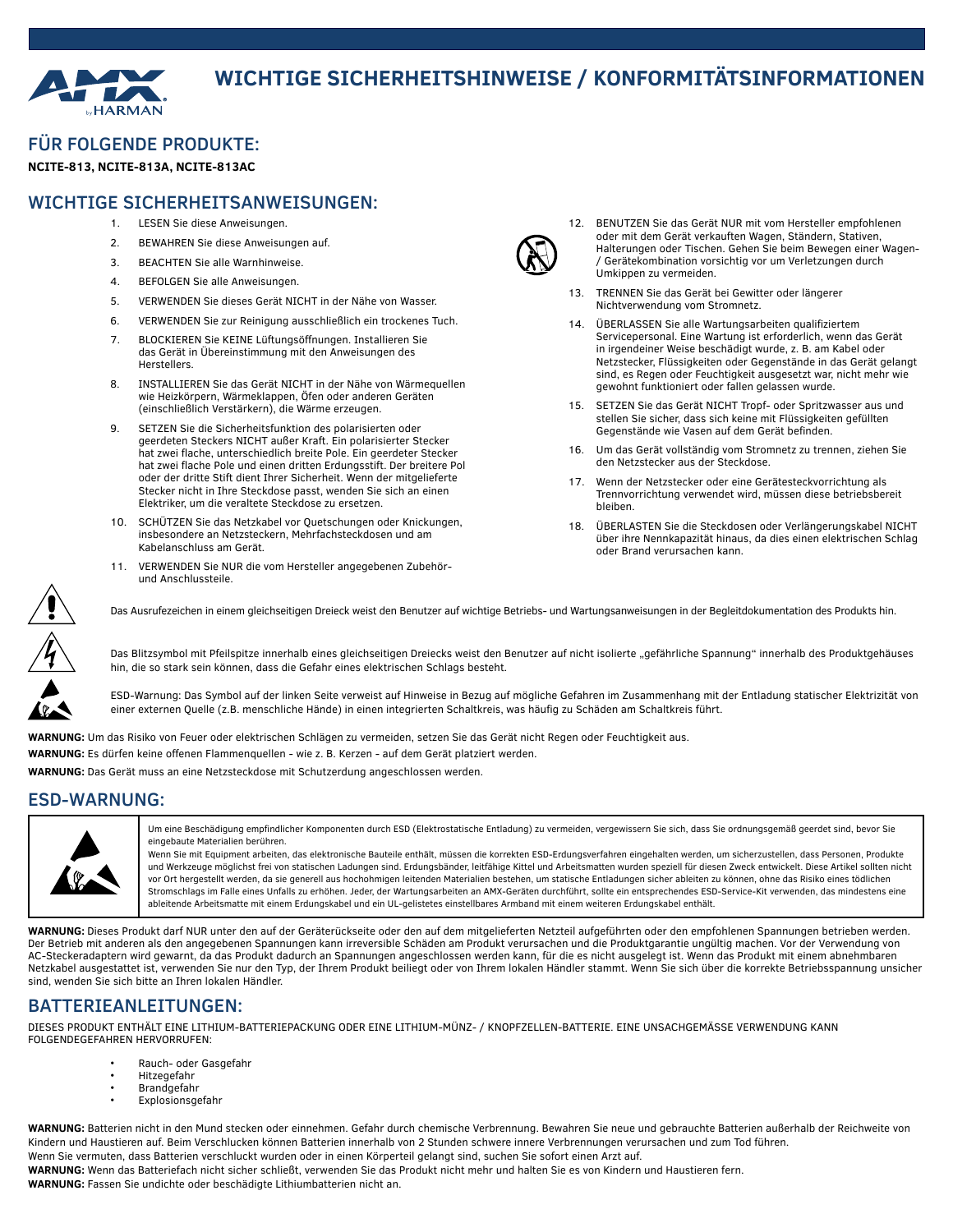

# **WICHTIGE SICHERHEITSHINWEISE / KONFORMITÄTSINFORMATIONEN**

### FÜR FOLGENDE PRODUKTE:

#### **NCITE-813, NCITE-813A, NCITE-813AC**

#### WICHTIGE SICHERHEITSANWEISUNGEN:

- 1. LESEN Sie diese Anweisungen.
- 2. BEWAHREN Sie diese Anweisungen auf.
- 3. BEACHTEN Sie alle Warnhinweise.
- 4. BEFOLGEN Sie alle Anweisungen.
- 5. VERWENDEN Sie dieses Gerät NICHT in der Nähe von Wasser.
- 6. VERWENDEN Sie zur Reinigung ausschließlich ein trockenes Tuch.
- 7. BLOCKIEREN Sie KEINE Lüftungsöffnungen. Installieren Sie das Gerät in Übereinstimmung mit den Anweisungen des Herstellers.
- 8. INSTALLIEREN Sie das Gerät NICHT in der Nähe von Wärmequellen wie Heizkörpern, Wärmeklappen, Öfen oder anderen Geräten (einschließlich Verstärkern), die Wärme erzeugen.
- 9. SETZEN Sie die Sicherheitsfunktion des polarisierten oder geerdeten Steckers NICHT außer Kraft. Ein polarisierter Stecker hat zwei flache, unterschiedlich breite Pole. Ein geerdeter Stecker hat zwei flache Pole und einen dritten Erdungsstift. Der breitere Pol oder der dritte Stift dient Ihrer Sicherheit. Wenn der mitgelieferte Stecker nicht in Ihre Steckdose passt, wenden Sie sich an einen Elektriker, um die veraltete Steckdose zu ersetzen.
- 10. SCHÜTZEN Sie das Netzkabel vor Quetschungen oder Knickungen, insbesondere an Netzsteckern, Mehrfachsteckdosen und am Kabelanschluss am Gerät.
- 11. VERWENDEN Sie NUR die vom Hersteller angegebenen Zubehörund Anschlussteile.



- 12. BENUTZEN Sie das Gerät NUR mit vom Hersteller empfohlenen oder mit dem Gerät verkauften Wagen, Ständern, Stativen, Halterungen oder Tischen. Gehen Sie beim Bewegen einer Wagen- / Gerätekombination vorsichtig vor um Verletzungen durch Umkippen zu vermeiden.
- 13. TRENNEN Sie das Gerät bei Gewitter oder längerer Nichtverwendung vom Stromnetz.
- 14. ÜBERLASSEN Sie alle Wartungsarbeiten qualifiziertem Servicepersonal. Eine Wartung ist erforderlich, wenn das Gerät in irgendeiner Weise beschädigt wurde, z. B. am Kabel oder Netzstecker, Flüssigkeiten oder Gegenstände in das Gerät gelangt sind, es Regen oder Feuchtigkeit ausgesetzt war, nicht mehr wie gewohnt funktioniert oder fallen gelassen wurde.
- 15. SETZEN Sie das Gerät NICHT Tropf- oder Spritzwasser aus und stellen Sie sicher, dass sich keine mit Flüssigkeiten gefüllten Gegenstände wie Vasen auf dem Gerät befinden.
- 16. Um das Gerät vollständig vom Stromnetz zu trennen, ziehen Sie den Netzstecker aus der Steckdose.
- 17. Wenn der Netzstecker oder eine Gerätesteckvorrichtung als Trennvorrichtung verwendet wird, müssen diese betriebsbereit bleiben.
- 18. ÜBERLASTEN Sie die Steckdosen oder Verlängerungskabel NICHT über ihre Nennkapazität hinaus, da dies einen elektrischen Schlag oder Brand verursachen kann.



Das Ausrufezeichen in einem gleichseitigen Dreieck weist den Benutzer auf wichtige Betriebs- und Wartungsanweisungen in der Begleitdokumentation des Produkts hin.

Das Blitzsymbol mit Pfeilspitze innerhalb eines gleichseitigen Dreiecks weist den Benutzer auf nicht isolierte "gefährliche Spannung" innerhalb des Produktgehäuses hin, die so stark sein können, dass die Gefahr eines elektrischen Schlags besteht.

ESD-Warnung: Das Symbol auf der linken Seite verweist auf Hinweise in Bezug auf mögliche Gefahren im Zusammenhang mit der Entladung statischer Elektrizität von einer externen Quelle (z.B. menschliche Hände) in einen integrierten Schaltkreis, was häufig zu Schäden am Schaltkreis führt.

**WARNUNG:** Um das Risiko von Feuer oder elektrischen Schlägen zu vermeiden, setzen Sie das Gerät nicht Regen oder Feuchtigkeit aus. **WARNUNG:** Es dürfen keine offenen Flammenquellen - wie z. B. Kerzen - auf dem Gerät platziert werden.

**WARNUNG:** Das Gerät muss an eine Netzsteckdose mit Schutzerdung angeschlossen werden.

#### ESD-WARNUNG:



Um eine Beschädigung empfindlicher Komponenten durch ESD (Elektrostatische Entladung) zu vermeiden, vergewissern Sie sich, dass Sie ordnungsgemäß geerdet sind, bevor Sie eingebaute Materialien berühren.

Wenn Sie mit Equipment arbeiten, das elektronische Bauteile enthält, müssen die korrekten ESD-Erdungsverfahren eingehalten werden, um sicherzustellen, dass Personen, Produkte und Werkzeuge möglichst frei von statischen Ladungen sind. Erdungsbänder, leitfähige Kittel und Arbeitsmatten wurden speziell für diesen Zweck entwickelt. Diese Artikel sollten nicht vor Ort hergestellt werden, da sie generell aus hochohmigen leitenden Materialien bestehen, um statische Entladungen sicher ableiten zu können, ohne das Risiko eines tödlichen Stromschlags im Falle eines Unfalls zu erhöhen. Jeder, der Wartungsarbeiten an AMX-Geräten durchführt, sollte ein entsprechendes ESD-Service-Kit verwenden, das mindestens eine ableitende Arbeitsmatte mit einem Erdungskabel und ein UL-gelistetes einstellbares Armband mit einem weiteren Erdungskabel enthält.

**WARNUNG:** Dieses Produkt darf NUR unter den auf der Geräterückseite oder den auf dem mitgelieferten Netzteil aufgeführten oder den empfohlenen Spannungen betrieben werden. Der Betrieb mit anderen als den angegebenen Spannungen kann irreversible Schäden am Produkt verursachen und die Produktgarantie ungültig machen. Vor der Verwendung von AC-Steckeradaptern wird gewarnt, da das Produkt dadurch an Spannungen angeschlossen werden kann, für die es nicht ausgelegt ist. Wenn das Produkt mit einem abnehmbaren Netzkabel ausgestattet ist, verwenden Sie nur den Typ, der Ihrem Produkt beiliegt oder von Ihrem lokalen Händler stammt. Wenn Sie sich über die korrekte Betriebsspannung unsicher sind, wenden Sie sich bitte an Ihren lokalen Händler.

### BATTERIEANLEITUNGEN:

DIESES PRODUKT ENTHÄLT EINE LITHIUM-BATTERIEPACKUNG ODER EINE LITHIUM-MÜNZ- / KNOPFZELLEN-BATTERIE. EINE UNSACHGEMÄSSE VERWENDUNG KANN FOLGENDEGEFAHREN HERVORRUFEN:

- Rauch- oder Gasgefahr
- Hitzegefahr
- Brandgefahr
- Explosionsgefahr

**WARNUNG:** Batterien nicht in den Mund stecken oder einnehmen. Gefahr durch chemische Verbrennung. Bewahren Sie neue und gebrauchte Batterien außerhalb der Reichweite von Kindern und Haustieren auf. Beim Verschlucken können Batterien innerhalb von 2 Stunden schwere innere Verbrennungen verursachen und zum Tod führen.

Wenn Sie vermuten, dass Batterien verschluckt wurden oder in einen Körperteil gelangt sind, suchen Sie sofort einen Arzt auf. **WARNUNG:** Wenn das Batteriefach nicht sicher schließt, verwenden Sie das Produkt nicht mehr und halten Sie es von Kindern und Haustieren fern.

**WARNUNG:** Fassen Sie undichte oder beschädigte Lithiumbatterien nicht an.